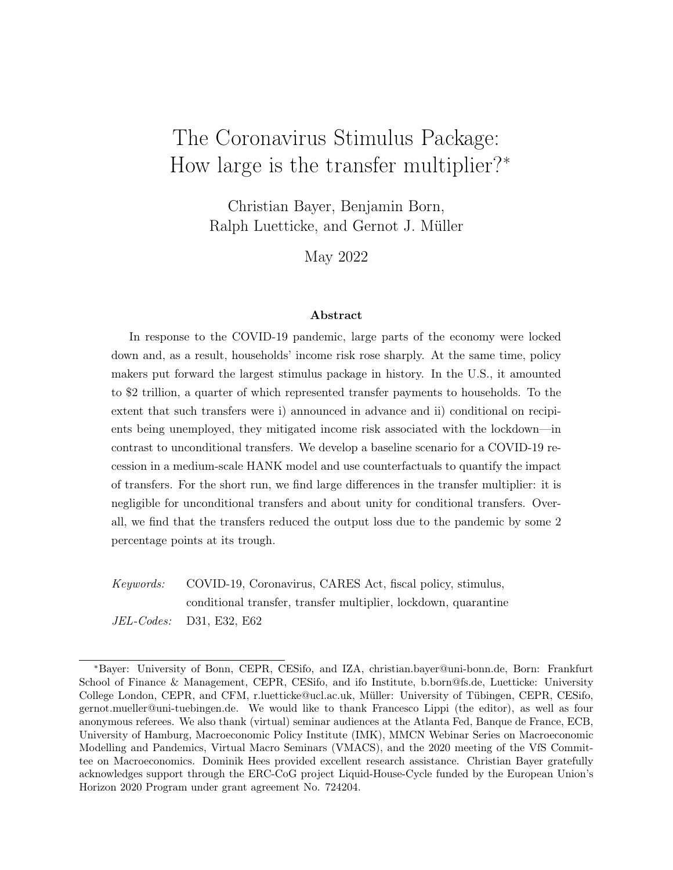# The Coronavirus Stimulus Package: How large is the transfer multiplier?<sup>∗</sup>

Christian Bayer, Benjamin Born, Ralph Luetticke, and Gernot J. Müller

May 2022

#### Abstract

In response to the COVID-19 pandemic, large parts of the economy were locked down and, as a result, households' income risk rose sharply. At the same time, policy makers put forward the largest stimulus package in history. In the U.S., it amounted to \$2 trillion, a quarter of which represented transfer payments to households. To the extent that such transfers were i) announced in advance and ii) conditional on recipients being unemployed, they mitigated income risk associated with the lockdown—in contrast to unconditional transfers. We develop a baseline scenario for a COVID-19 recession in a medium-scale HANK model and use counterfactuals to quantify the impact of transfers. For the short run, we find large differences in the transfer multiplier: it is negligible for unconditional transfers and about unity for conditional transfers. Overall, we find that the transfers reduced the output loss due to the pandemic by some 2 percentage points at its trough.

Keywords: COVID-19, Coronavirus, CARES Act, fiscal policy, stimulus, conditional transfer, transfer multiplier, lockdown, quarantine JEL-Codes: D31, E32, E62

<sup>∗</sup>Bayer: University of Bonn, CEPR, CESifo, and IZA, christian.bayer@uni-bonn.de, Born: Frankfurt School of Finance & Management, CEPR, CESifo, and ifo Institute, b.born@fs.de, Luetticke: University College London, CEPR, and CFM, r.luetticke@ucl.ac.uk, Müller: University of Tübingen, CEPR, CESifo, gernot.mueller@uni-tuebingen.de. We would like to thank Francesco Lippi (the editor), as well as four anonymous referees. We also thank (virtual) seminar audiences at the Atlanta Fed, Banque de France, ECB, University of Hamburg, Macroeconomic Policy Institute (IMK), MMCN Webinar Series on Macroeconomic Modelling and Pandemics, Virtual Macro Seminars (VMACS), and the 2020 meeting of the VfS Committee on Macroeconomics. Dominik Hees provided excellent research assistance. Christian Bayer gratefully acknowledges support through the ERC-CoG project Liquid-House-Cycle funded by the European Union's Horizon 2020 Program under grant agreement No. 724204.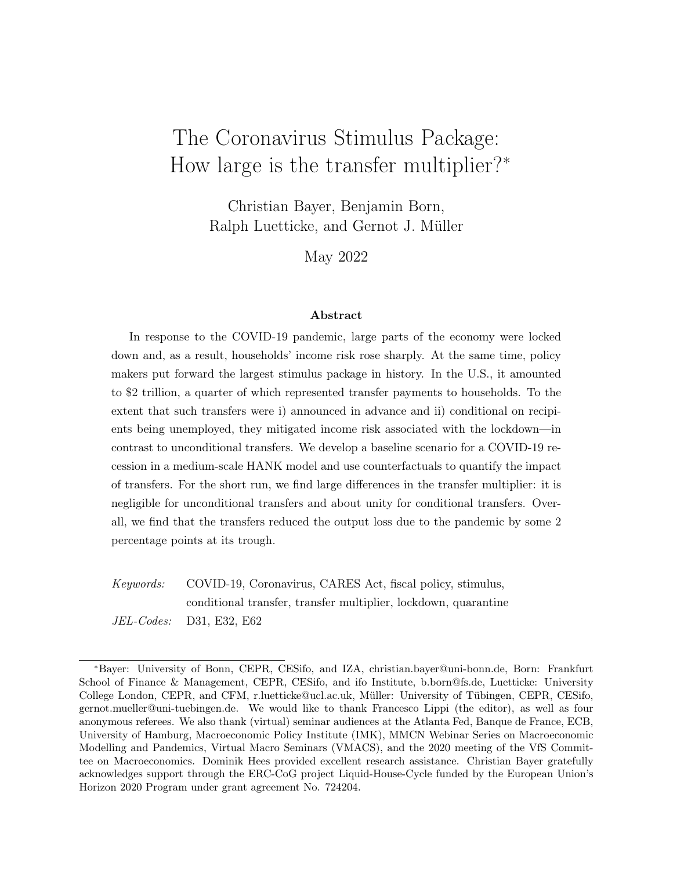# 1 Introduction

The economic fallout of the COVID-19 pandemic was unprecedented. As many businesses and industries were locked down in an e ort to limit infections—either voluntarily or by government mandate—unemployment rose sharply. In the ten weeks from mid-March to the end of May 2020 some 40 million initial claims to unemployment benefits were filed in the U.S. The left panel of Figure 1 shows time-series data, testifying to the exceptional nature of the labor-market developments during the pandemic. A similar picture emerges for the unemployment rate, shown in the right panel. As a result, the COVID-19 pandemic raised income risk for U.S. households strongly—much more so than in a usual recession.<sup>1</sup>

The pandemic also triggered an exceptional fiscal response.<sup>2</sup> On March 27, 2020 former President Trump signed the Coronavirus Aid, Relief, and Economic Security (CARES) Act into law. As a result, \$2 trillion of federal funds were disbursed to households and firms through various channels. The largest items on the household side included, first, a one-time payment of \$1,200 to any adult in the U.S. population with a gross income of up to \$75,000 and, second, a top up to state unemployment benefits of \$600 per week. Under the Federal Pandemic Unemployment Compensation (FPUC) scheme, the unemployed received this sum irrespective of their earlier earnings up until the end of July 2020. Each of these measures triggered additional federal expenditures of some \$270 billion. To put this into perspective, recall that the entire American Recovery and Reinvestment Act (ARRA), legislated in 2009 in response to the financial crisis, mobilized some \$800 billion of federal spending.

In this paper, we analyze the quantitative impact of the transfer components of the CARES Act and assess to what extent they limited the economic fallout from the COVID-19 pandemic. We proceed in two steps. First, we develop a baseline scenario for the COVID-19 recession. For this purpose, we specify a "quarantine shock," or "Q-shock" for short. Importantly, we abstract entirely from the epidemiological causes that underlie this shock in order to focus on the e cacy of transfers during the COVID-19 recession. Moreover, we are completely agnostic as to whether the Q-shock is imposed by governments or the result of voluntary social restraint: What matters is that as a result of the shock a sizeable fraction of the labor force is locked out of/prefers not to/cannot work for health reasons. In addition, a fraction of the aggregate capital stock and the goods of some sectors also become

<sup>&</sup>lt;sup>1</sup>Initially, some observers suggested that unemployment would reach 30% in the second quarter of 2020; see, for instance, the remark by the president of the Federal Reserve Bank of St. Louis, James Bullard, reported by Bloomberg on March 22, 2020, or Faria-e-Castro (2020).

<sup>&</sup>lt;sup>2</sup>The Federal Reserve, too, took a series of measures in response to the COVID-19 crisis, including cutting its policy rate to zero. In our analysis, we account for Fed policy but our focus is on the fiscal response to the crisis. Assuming uninsurable income risk, Wolf (2021) establishes conditions under which fiscal stimulus can be a perfect substitute for interest rate cuts.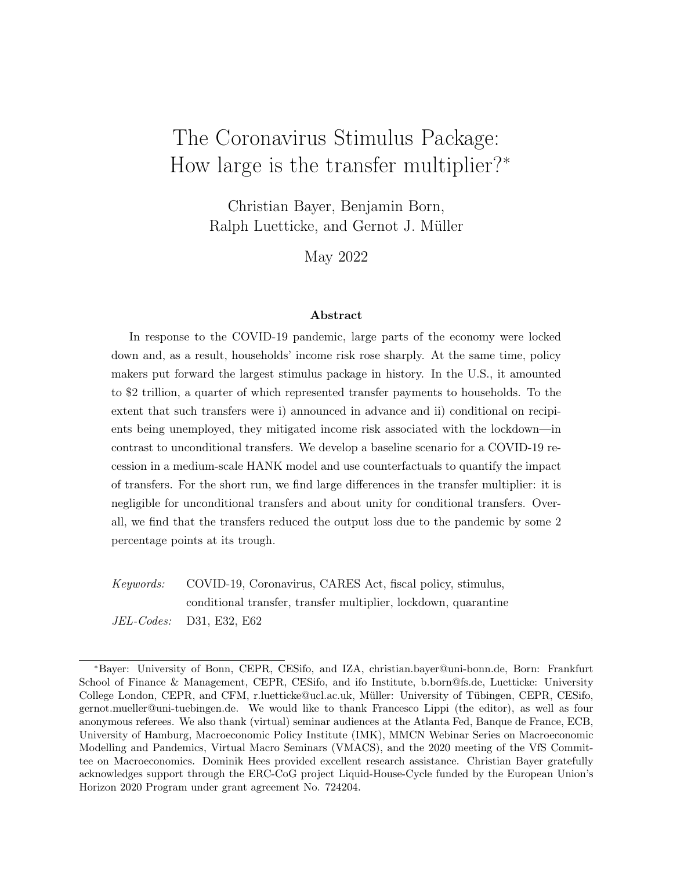

Figure 1: Unemployment. Notes: Panel A) monthly initial claims to unemployment benefits; Panel B) monthly unemployment rate, both from 2007–2021. Source: FRED Economic Data, St. Louis Fed.

temporarily unavailable for production and consumption. As a result, the shock not only lowers the production potential of the aggregate economy, it also triggers an unprecedented increase in income risk at the household level, which, in turn, induces the private sector to increase savings. In the baseline, we assume that the Q-shock is fully anticipated. This is a conservative assumption because unemployment recovers more quickly in May 2020 than in previous recessions. While income risk rises sharply, our baseline thus assumes households to know the increase to be of very limited duration.<sup>3</sup>

Second, we study model-based counterfactuals and investigate how the Coronavirus stimulus shaped the COVID-19 recession. We focus on the transfer payments which households receive in the baseline, both unconditional transfers and transfers that are conditional on the recipient being unemployed.<sup>4</sup> Unconditional transfers are part of the recession-fighting toolkit and have been deployed before. The Economic Stimulus Act passed in February 2008 under the Bush administration, for instance, was a \$100 billion program under which taxpayers received a \$900 payment (Broda and Parker, 2014). The economic rationale is straightforward: to the extent that households are liquidity or credit constrained, they will

<sup>3</sup>We also study an alternative scenario where anticipation of the Q-shock is incomplete since, in some respects, the pandemic took firms by surprise (Hassan et al., 2021). Also, beliefs about the duration of the lockdown varied widely among firms and households (Bartik et al., 2020; Dietrich et al., 2022). Moser and Yared (2022) analyze the role of government commitment to the extent of future lockdowns. According to their analysis, lack of commitment leads to more severe lockdowns and larger losses in output and consumption.

<sup>4</sup>There is also an element of conditionality in the \$1,200 payment per person under the CARES Act, but this concerns only a small fraction of the population. We account for this in our model simulations but refer to it as an "unconditional transfer" for simplicity.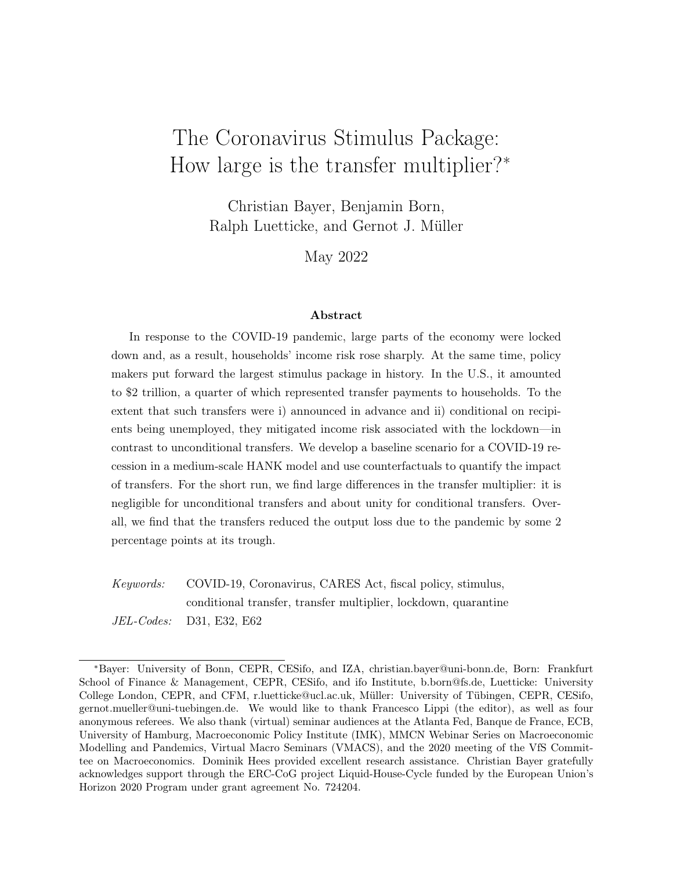spend the largest part of the transfer, even if taxes may go up at some point in the future. This, in turn, may limit the reduction of private expenditure triggered by the recession. By targeting the unemployed, conditional transfers provide more funds per recipient for a fiscal package of a given size. On top of this, they lower income risk associated with becoming unemployed and thus the need for precautionary savings in response to the Q-shock.

We conduct our analysis within a heterogeneous agent New Keynesian (HANK) model, put forward and estimated by Bayer et al. (2020, 2021). It is particularly well suited for the purpose at hand because it features income risk: households face di erent labor market outcomes and, because financial markets are incomplete, the resulting income risk is not shared across households. The model also features various additional frictions and is able to account for key features of the business cycle. We find that the calibrated version of the model that we use in this paper also captures key aspects of the COVID-19 recession—both along the time-series dimension and in terms of the heterogeneity of labor market outcomes in the cross-section of households. The model predicts the evolution of key macroeconomic indicators during the period 2020/21 quite accurately, even though—with the exception of the unemployment rate—they are not targeted in the calibration of the model. It also accounts well for the incidence and dynamics of unemployment across the income distribution.

We compute the quantitative e ect of the CARES transfers through model-based counterfactuals. Absent the transfers, the collapse of economic activity which amounts to about 10 percent in the baseline would have been larger by almost 2 percentage points at its through. Also, because the recovery would have been slower without transfers, the cumulative output loss would have been larger by about 13 percent of monthly GDP. This e ect is largely due to conditional transfers. To illustrate this, we compute the cumulative transfer multiplier. In the short run it is about 0.25 for the overall transfer component of the CARES act, but about 1 for conditional transfers and basically 0 for unconditional transfers. Conditional transfers are e ective in stabilizing the economy because they are targeted to households with the highest marginal propensity to consume and because they lower income risk.

We also study the distributional consequences and the welfare e ects of the Q-shock and the transfer payments. The results are clear cut. The COVID-19 recession lead to an increase in inequality across a range of indicators, but the transfers dampened this e ect to a considerable extent. A similar picture emerges for welfare. While the pandemic had adverse welfare e ects across all wealth groups, they were particularly strong for the poor. The transfers under the CARES act, in turn, were very e ective in o setting these e ects. And while we do not o er a full-fledged analysis of the optimal fiscal response to the pandemic, our simulations show that there are decreasing returns to the transfer payments in terms of macroeconomic stabilization because of the way they interact with income risk.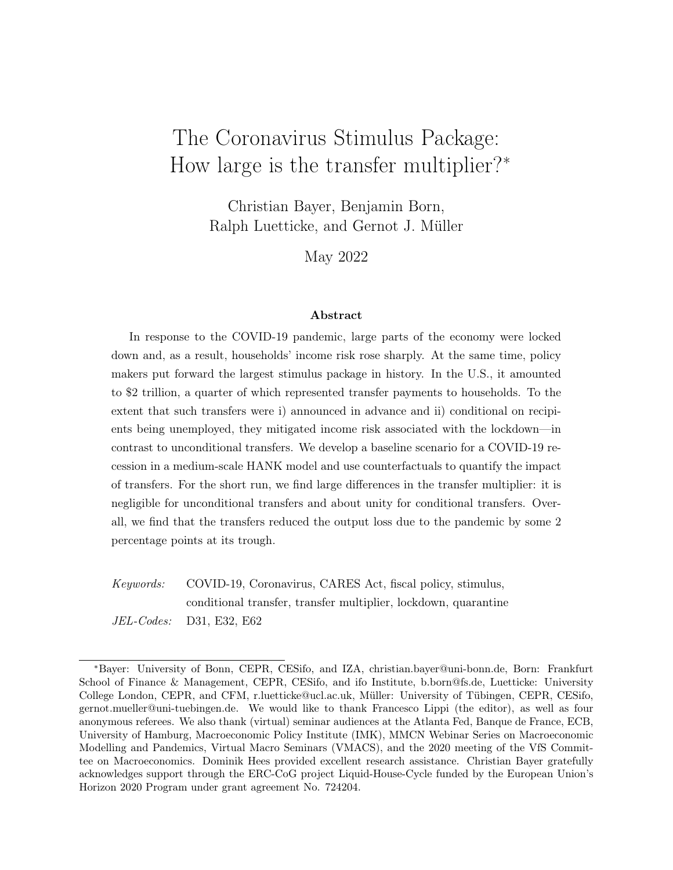The paper is organized as follows. In the remainder of the introduction we clarify the paper's main message and its connection to the existing literature. Section 2 outlines the model structure. Section 3 explains in detail our parameter choices. We present our results in Section 4, zooming in on the transmission mechanism of both, the Q-shock and the alternative transfer instruments. A nal section oers some conclusions.

Related literature. Our model extends the framework of Bayer et al. (2020, 2021), rst, by introducing two new labor market states. In this way we account for the fact that workers face the risk of not being able to work, be it because of sickness, actual quarantine, or more general lockdowns. Second, we assume that also product varieties as well as the capital stock used in production are quarantined in the same way and temporarily unavailable for consumption and production. Third, we model the actual scal transfers that were legislated in response to the pandemic. Additionally, we calibrate monetary policy to match the observed path of interest rates instead of using estimated monetary policy rules from pre-pandemic times. Also, rather than allowing for an array of shocks to hit the economy, we focus on the unique circumstances of the COVID-19 pandemic. These modications are important because we want the model to account for short-term unemployment risk and uctuations in product varieties as drivers of the recession and to study targeted transfers which have been absent from previous work.

Related work by, among others, Guerrieri et al. (2022) and Kaplan et al. (2020), share with our work some of these features. Speci cally, the notion that the limited availability of product varieties are important to understand in ation and business cycle dynamics during the COVID-19 recession is due to Guerrieri et al. (2022). Moving beyond their work, we embed this aspect in a quantitative DSGE model that also features household heterogeneity. Similar to Kaplan et al. (2020), we show that it is important to consider heterogeneity at the household level to understand the full consequences of the COVID-19 pandemic. The focus on the role of dierent types of transfers distinguishes our work from theirs. Our ndings suggest that both the demand shortages due to temporarily unavailable products and services and the sharp increase in income risk are important to understand the COVID-19 recession. In particular the sharp rise in income risk is what makes additional insurance provided by the CARES package individually valuable for aected households and gives rise to additional aggregate stabilization.

A more conventional model would not allow us to capture the workings of CARES transfers correctly. This holds true, in particular, for two-agent New Keynesian (TANK) models. Coenen et al. (2012), for instance, oer a systematic analysis of transfer multipliers in seven large-scale TANK models. They nd that transfers targeted to liquidity constrained house-

4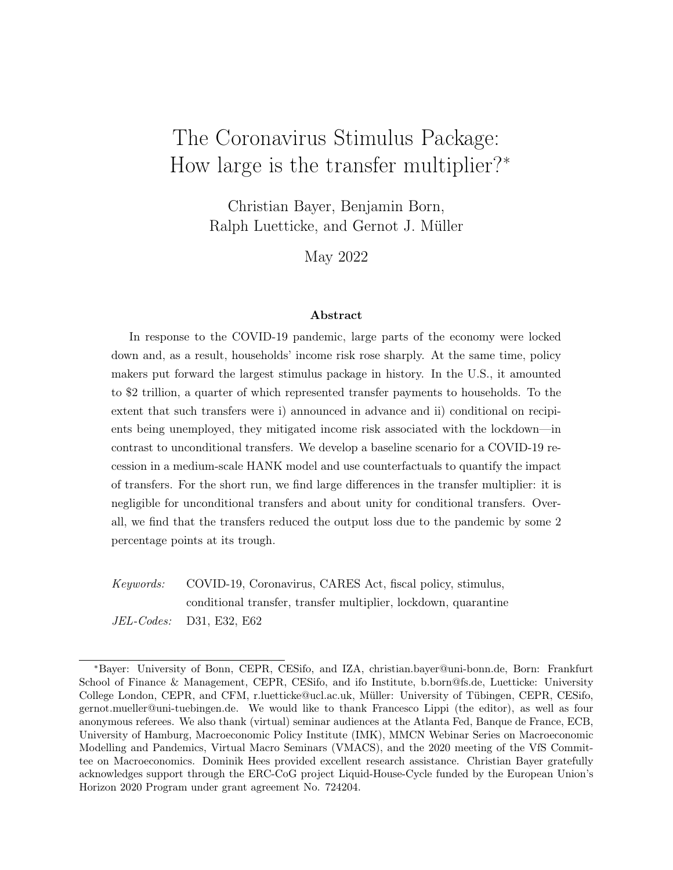holds can give rise to sizeable multipliers provided the zero lower bound binds, a result further re ned in later work (Bilbiie et al., 2013; Giambattista and Pennings, 2017; Mehrotra, 2018; Bilbiie, 2020; Faria-e-Castro, 2022). TANK models have also been used to study the transfers during the COVID-19 recession. Faria-e-Castro (2021) nds that the unemployment-benets multiplier is larger during the COVID-19 recession than in normal times. Bhattarai et al. (2021) show that the transfer multiplier depends on the monetary- scal mix. Importantly, TANK models do not account for household income risk which is at the core of our analysis.

Yet there is work which considers incomplete markets and income risk while studying the transfer multiplier. Oh and Reis (2012) perform a quantitative analysis of the transfers of the ARRA package in a model with household heterogeneity and sticky information. They nd very small transfer multipliers on output, even though they assume that transfers are targeted to households with a high marginal propensity to consume. Likewise McKay and Reis (2016) and Hagedorn et al. (2019) obtain moderate tax and transfer multipliers in calibrated versions of one-asset HANK models. Moving beyond these papers, we model wealthy-hand-to-mouth households as introduced by Kaplan and Violante (2014). They show in partial equilibrium that illiquid wealth can rationalize sizable consumption responses to transfers and low levels of consumption insurance. By using a similar setup in a New Keynesian model, the distinct contribution of our analysis is to show that conditional transfers in deep recessions lower income risk and thereby generate sizeable multiplier e ects, in line with earlier work on unemployment bene ts as automatic stabilizers (Ravn and Sterk, 2017; Den Haan et al., 2017; McKay and Reis, 2021; Kekre, 2022).

We believe that some of our results, such as the e ectiveness of counter-cyclical unemployment benets, are fairly general and may inform the government response to other recessions. On the other hand, some of our results, including those related to products and services becoming temporarily unavailable are speci c to the COVID-19 recession because they are due to measures that are meant to protect individual or public health. In order to explore potential trade-os between health protection and economic welfare, a number of studies develop explicit microfoundations of the interaction between economic activity and infection dynamics (Eichenbaum et al., 2021; Glover et al., 2021; Boppart et al., 2020). Instead, because we consider our model as a laboratory to study the properties of alternative scal transfers, we account for the feedback from economic activity to the state of the pandemic via a straightforward reduced-form relationship.

<sup>&</sup>lt;sup>5</sup>In related work, Auerbach et al. (2021) put forward a stylized model with COVID-19-related restrictions and economic slack. They show analytically that transfers to low-income households can increase spending on unrestricted items and that targeted transfers to rms are particularly eective in stimulating the economy.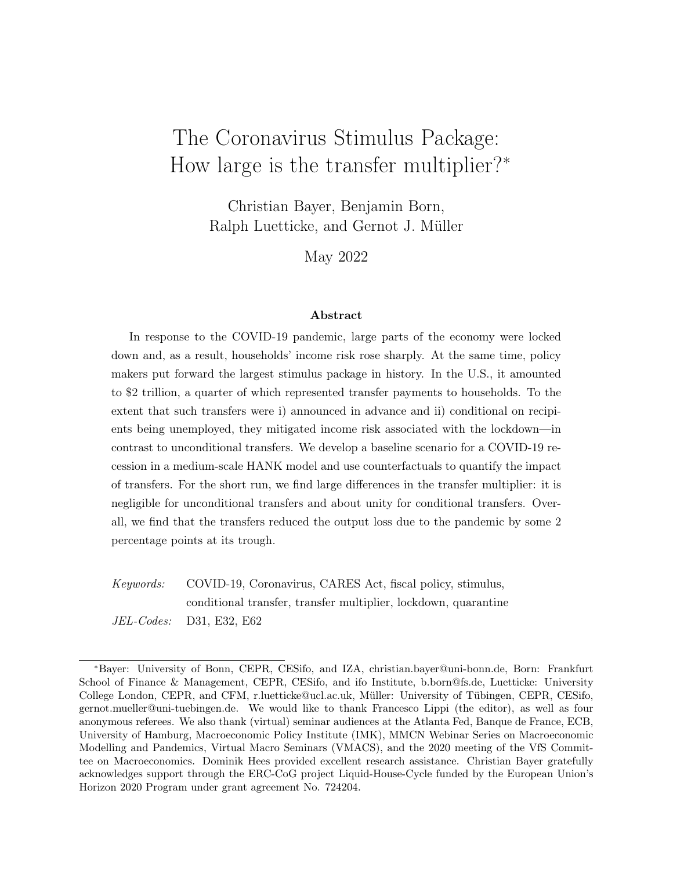# 2 Model

The model and our exposition here closely follow Bayer et al. (2020, 2021), extended to capture the economic fallout from the COVID-19 pandemic. We use the same general setup for the economy: it is composed of a rm sector, a household sector, and a government sector. In the rm sector, we dene several layers in order to maintain tractability. There is a continuum of isomorphic nal-good sectors, each characterized by monopolistic competition. Final good producers rely on homogeneous intermediate inputs provided by perfectly competitive intermediate goods producers. Capital goods, in turn, are produced on the basis of nal goods, subject to adjustment costs. Labor services are assembled on the basis of dierentiated labor types provided by unions that, in turn, dierentiate the raw labor input of households. Price setting for the nal goods as well as wage setting by unions is subject to nominal rigidities. Households earn income from supplying (raw) labor and capital, and from owning the rm sector, absorbing all of its rents that stem from the market power of unions and nal goods producers, and decreasing returns to scale in capital goods production. The government sector runs both a scal authority and a monetary authority. The scal authority levies taxes on labor income and distributed pure prots (monopoly rents), issues government bonds, and adjusts expenditures to stabilize debt in the long run. The monetary authority sets the nominal interest rate on government bonds according to a Taylor rule targeting in ation and output growth.

To study the pandemic, we add short term unemployment risk, unemployment insurance, and transfers to the model of Bayer et al. (2020), but, most importantly, we introduce the idea of quarantines, theQ-shock. Quarantines imply that a fraction of the workforce, a fraction of the capital stock, and a fraction of sectors, can no longer supply their services, be it because of a government mandated lockdown, be it because of actual infections, or be it because consumers shy away from demanding the services to avoid infections themselves. This creates a recession environment that is characterized by a shortage of factor supplies, an increase in individual income risks and, as explained in detail by Guerrieri et al. (2022), by Keynesian supply shocks. These demand spillovers across sectors depend crucially on the elasticity of substitution across the goods produced in dierent sectors. Hence, we allow it to dier from the elasticity of substitution within sectors.

### 2.1 Households

The household sector is subdivided into two types of agents: workers and entrepreneurs. The transition between both types is stochastic. Both rent out physical capital, but only workers supply labor. The e ciency of a worker's labor evolves randomly, exposing worker-

6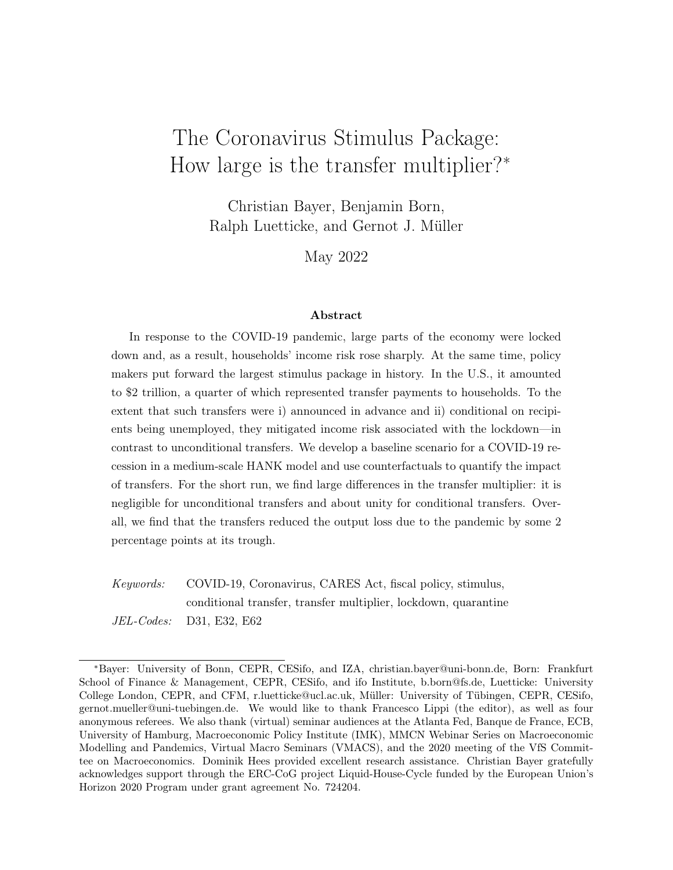households to labor-income risk. Entrepreneurs do not work, but earn all pure rents in our economy except for the rents of unions, which are equally distributed across workers. All households self-insure against the income risks they face by saving in a liquid nominal asset (bonds) and a less liquid asset (capital). Trading illiquid assets is subject to random participation in the capital market.

To be specic, there is a continuum of ex-ante identical households of measure one, indexed by i. Households are in nitely lived, have time-separable preferences with discount factor, and derive felicity from consumption $c<sub>t</sub>$  and leisure. They obtain income from supplying labor,  $n_{it}$ , from renting out capital,  $k_{it}$ , from earning interest on bonds $p_{it}$ , and, potentially, from unemployment bene ts, rm pro ts, or union transfers. Households pay taxes on labor and pro t income.

A key economic aspect of the pandemic is that, beyond usual levels of unemployment, a substantially larger fraction of workers is locked out of work. We capture this in our model by having, next to a regular unemployment state, a COVID unemployment state; a quarantine. To model the aggregate shock to the economy, we let the probability of entering this state vary over time and calibrate it to be a very rare state in the steady state.

#### 2.1.1 Productivity, Labor Supply and Labor Income

A household's endowment with human capital is described in two dimensions. Its underlying productivity h and whether the household is either employed  $\epsilon \in E$ ), regularly unemployed (e = U), or in COVID-unemployment, in quarantine (e =  $Q$ ).<sup>6</sup> Transitions in productivity evolve according to a rst-order Markov chain with transition matrix  $h$ . This transition matrix approximates a log-AR(1) process ${\mathsf h}_{\mathsf{it}} = {\mathsf{exp}}_{-{\mathsf h}} \log {\mathsf h}_{\mathsf{it} - 1} + \frac{{\mathsf h}}{ {\mathsf i}{\mathsf t}}$  . Transitions between employment and unemployment are determined by the transition matrix

<sup>e</sup> = 0 B@ E Q U E 1 p in q;t(h) p in <sup>u</sup> p in q;t(h) p in u Q p out;E <sup>q</sup> 1 p out;E <sup>q</sup> p out;U <sup>q</sup> p out;U q U p out <sup>u</sup> 0 1 p out u 1 C A : (1)

The probability to enter quarantine is time-varying  $p_{q;t}^{in}(h)$  and depends on the productivity of the household to capture the heterogeneous incidence of job losses across the income

<sup>&</sup>lt;sup>6</sup>In absence of a better word, we choose to name the COVID-unemployment state quarantine. It summarizes literal quarantine/sickness, lockdown measures and voluntary consumption restraints that render certain activities impossible. The key features of this state are two: First, it captures the additional nonemployment eects on factors and sectors of the pandemic and, second, FPUC payments are targeted and limited to workers in that state, which also limits them in time.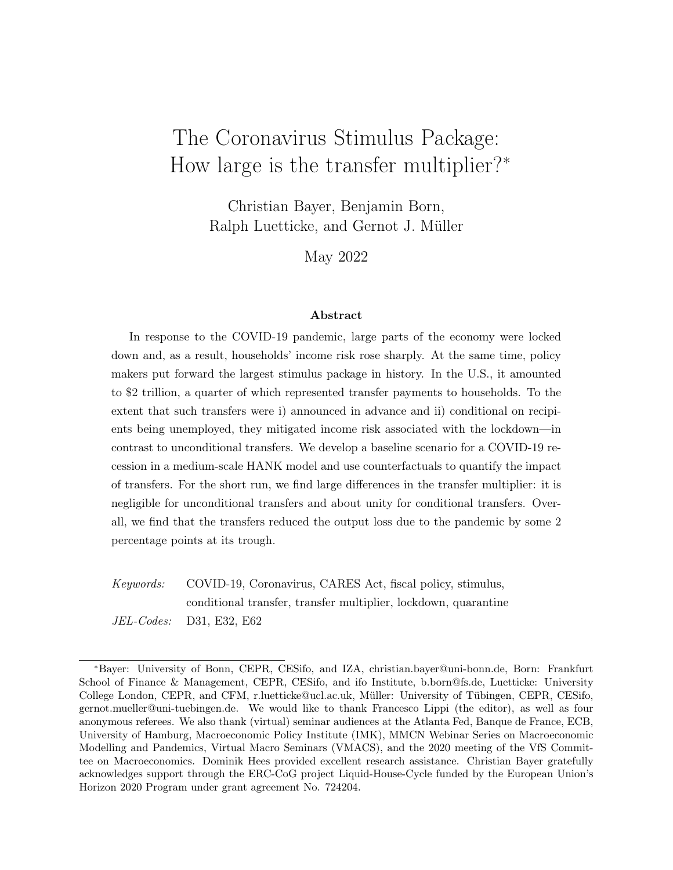distribution (Mongey et al., 2021), given by a logistic function (h) with  $E((h)) = 1$ . The process for the probability to enter quarantine is given by

$$
p_{q;t}^{in}(h) = p_{q;ss}^{in} + (h)Q_t; \quad Q_t = Q_{t-1} + Q_t \gamma \log(Y_t = Y) + \frac{Q}{t}; \tag{2}
$$

where $Q_t$  is the mean-zero probability shifter for quarantines. This shifter follows an AR-1 process with autocorrelation  $_{\text{Q}}$  and innovations  $_{\text{t}}^{\text{Q}}$ . It also reacts to deviations of output,  $Y_t$ , from the steady state, Y, captured by the coe cient  $_{Q;Y}$ .

The entry into unemployment  $p_u^{in}$  and the exit probabilities,  $p_q^{out; E=U}$  and  $p_u^{out}$ , are timeconstant. From quarantine, theQ-state, workers can go back to employmenE, with probability  $p_q^{\text{out; E}}$  or become regularly unemployed, with probability  $p_q^{\text{out; U}}$ .

The regular unemployed obtain unemployment bene ts according to the US unemployment system which has a constant replacement rate that is, however, capped at 50% of the median income. The quarantined workers obtain an additional unemployment benet on top of the payments received in the U-state, as described in Section 4.1. Employed households earn gross labor incom $\omega_t n_{it} h_{it}$ . Some employed households become entrepreneurs with xed probability and return to the median employed state with probability. An entrepreneur obtains a xed share of the pure rents (aside from union rents) $,^{\text{F}}$ , in the economy (from monopolistic competition in the goods sector and the creation of capital). We assume that the claim to the pure rents cannot be traded as an asset. Union rent $\frac{1}{2}$ , are distributed lump-sum across workers, leading to labor-income compression.

With respect to leisure and consumption, households have GHH preferences (Greenwood et al., 1988) and maximize the discounted sum of felicity:

$$
E_0 \max_{\underset{f \, G_{it}}{f \, n_{it} \, g}} \sum_{t=0}^{N} \, ^t u \left[ G_{it} \quad G(h_{it}; n_{it}) \right]. \tag{3}
$$

The maximization is subject to the budget constraints described further below. The felicity function u exhibits a constant relative risk aversion (CRRA) with risk aversion parameter > 0,  $u(x_{it}) = \frac{x_{it}^1}{1}$  $\frac{1}{1}$ , where  $\mathsf{x}_{\mathsf{it}}~=~\mathsf{c}_{\mathsf{it}}$  G(h $_{\mathsf{it}}$  ; n $_{\mathsf{it}}$ ) is householdi's composite demand for goods consumption $c_{it}$  and leisure andG measures the disutility from work. The consumption good is a bundle of varieties of di erentiated goods from a continuum of nal-good

 $<sup>7</sup>$ In the steady state, entrepreneurs are wealthy households and as such have a low MPC. Therefore, the</sup> assumption is very similar to the one made in TANK models, such as Bilbiie (2020), and increases business cycle propagation somewhat, along the lines discussed there.

<sup>&</sup>lt;sup>8</sup>The assumption of GHH preferences is motivated by the fact that many estimated DSGE models of business cycles nd small aggregate wealth e ects in the labor supply; see, e.g., Born and Pfeifer (2014). Bayer et al. (2020) nd the same for their HANK model when comparing the marginal likelihood of the model with GHH and KPR preferences.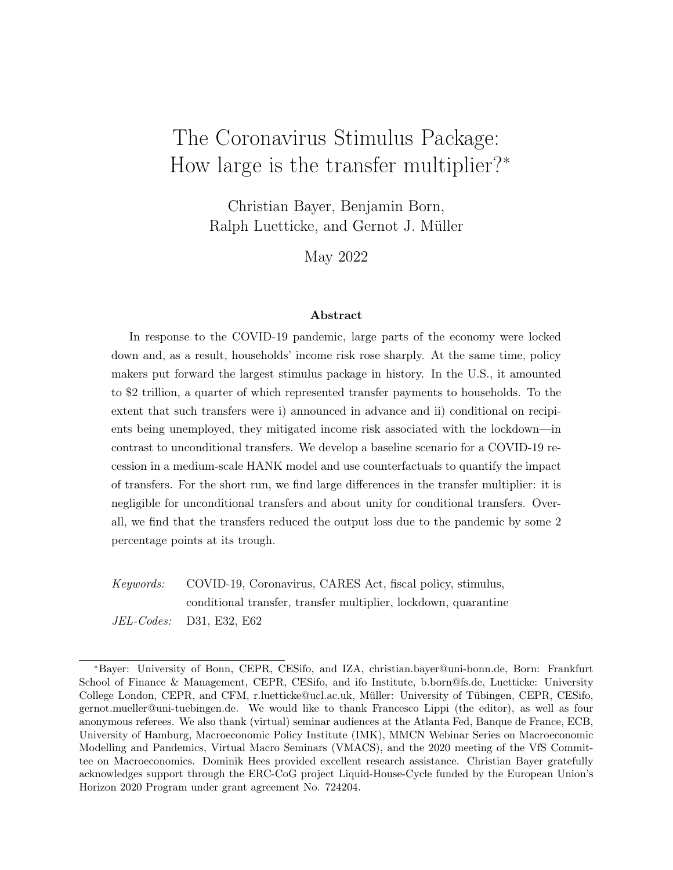sectorsk of measure one. Formally, we rely on a nested Dixit-Stiglitz aggregator:

cit = 2 4 Z kt Z j 2S(k) c F 1 F ijkt dj F F 1 S 1 S dk 3 5 S S 1 ; (4)

where j 2 S(k) indicates that dierentiated good j belongs to sectork. The elasticity of substitution within a nal-good sector,  $F$ , is assumed to be larger than the substitutability across sectors,  $s$ . Each of the dierentiated goods,j, is o ered at price  $p_{it}$ . Not all sectors are equally a ected by the pandemic. We model this by the indicator which determines whether sectork goods can actually be bought ( $k_t = 1$ ) or become unavailable due to the pandemic ( $k_t = 0$ ). This means that the demand for each of the varieties is given by

$$
c_{ijkt} = \kappa t \frac{p_{jt}}{P_{kt}} \qquad c_{ikt} \qquad (5)
$$

Here $P_{kt}$  is the (ideal) price index of all varieties in sectok and using these prices, we obtain the aggregate price leve $P_t =$ R  $_{kt}P_{kt}^{1}$  sdk  $\frac{1}{1-s}$ .

Without further loss of generality, we can normalize the disutility of labor:  $G(h_{it}$ ;  $n_{it}$ ) = h<sub>it</sub>  $\frac{n_{it}^{1+}}{1+}$ . This simpli es the household problem a $\textbf{s}_{it}$  drops out from the rst-order condition. All employed households supply the same number of hours =  $N(w_t)$ , and income and  $R$ productivity risk are the same. We denote by  $H_t$  the total number of active workers  $\;$  I $_{\rm e_{it}$   $=$   $_{\rm E}$ di. We assume that the same fraction $H_t$ , of nal-good sectors and capital is active, too. For the total e ective labor supply, we need to take heterogeneity into account, and obtain this as N (w<sub>t</sub>)H<sub>t</sub>, where H<sub>t</sub> :=  $\Box I_{e_{it}}$  = Eh<sub>it</sub> di is the productivity weighted share of active workers. R

#### 2.1.2 Consumption, Savings, and Portfolio Choice

Given the preferences and the stochastic environment above, a household optimizes intertemporally subject to its budget constraint:

$$
c_{it} + b_{t+1} + q_{t}k_{it+1} = b_{it} \frac{R(b_{it}; R_{t}^{b})}{t} + (q + r_{t})k_{it} + T_{t}(h_{it})
$$
  
+ (1) [R(h\_{it}; e\_{it})(h\_{it} w\_{t}N\_{t} + I\_{h\_{it}} e\_{0} U\_{t}) + I\_{h\_{it}} e\_{0} F];  

$$
k_{it+1} \quad 0; \quad b_{t+1} \quad \underline{B};
$$
 (6)

where  $\frac{U}{t}$  is union pro ts,  $\frac{F}{t}$  is rm pro ts,  $b_t$  is real bond holdings, $k_{it}$  is the amount of illiquid assets, q is the price of these assets, is their dividend,  $t = \frac{P_t - P_{t-1}}{P_{t-1}}$  $\frac{P_{t-1}}{P_{t-1}}$  is realized in ation, and R is the nominal interest rate on bonds, which depends on the portfolio position of the household and the central bank's interest rat $\mathsf{R}_{\mathsf{t}}^{\mathsf{b}}$ , which is set one period before. All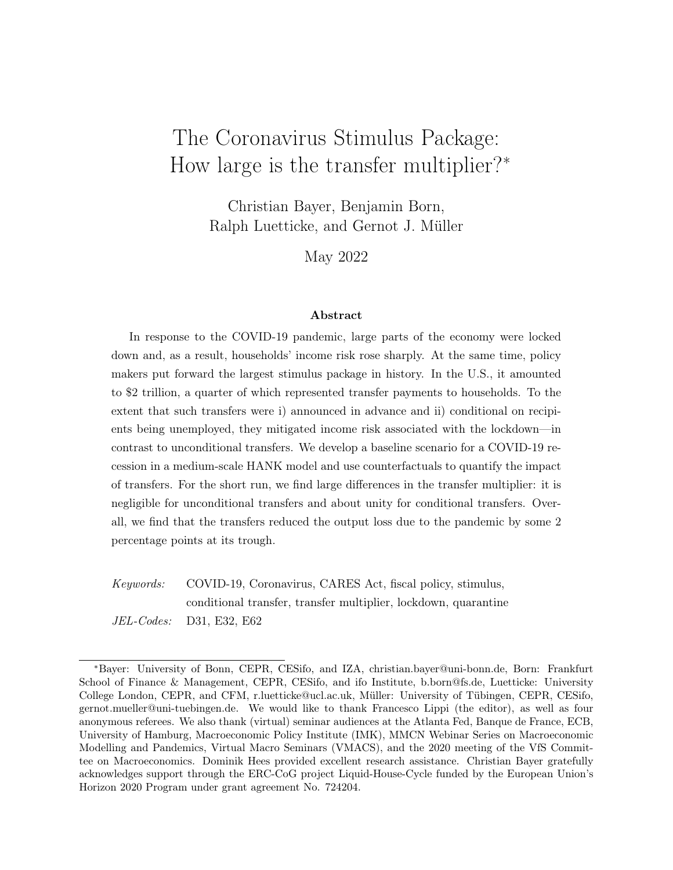households that do not participate in the capital market( $k_{it+1} = k_{it}$ ) still obtain dividends and can adjust their bond holdings. Depreciated capital has to be replaced for maintenance, such that the dividend,  $r_t$ , is the net return on capital. Holdings of bonds have to be above an exogenous debt limit E; and holdings of capital have to be non-negative R( $h_{it}$ ;  $e_{it}$ ) is equal to one for employed  $\epsilon = E$ ) households, less than one for unemployed  $\epsilon \in U$ ), and can exceed one for quarantined households  $\neq$  Q). In line with the U.S. unemployment insurance during the pandemic, the replacement rate depends on the level of forgone income and the CARES payments. Depending on their income level, households potentially receive a lump-sum transfer $T_t(h_{it})$ . The tax rate is constant.

Households make their savings choices and their portfolio choice between liquid bonds and illiquid capital in light of a capital market friction that renders capital illiquid because participation in the capital market is random and i.i.d. in the sense that only a fraction, , of households is selected to be able to adjust their capital holdings in a given period.

This leaves us with three functions that characterize the household's problem: value function  $V^a$  for the case where the household adjusts its capital holdings, the function<sup>n</sup> for the case in which it does not adjust, and the expected envelope valued, over both:

$$
V_{t}^{a}(b; k; h; \theta) = \max_{k^{0}; b_{k}^{0}} u[x(b; b_{k}^{0}; k; k^{0}, h; \theta)] + E_{t}V_{t+1}(b_{k}^{0}; k^{0}, h^{0}, \theta)
$$
  

$$
V_{t}^{n}(b; k; h; \theta) = \max_{b_{k}^{0}} u[x(b; b_{k}^{0}; k; k; h; \theta)] + E_{t}V_{t+1}(b_{k}^{0}; k; h^{0}, \theta)
$$
  

$$
E_{t}V_{t+1}(b_{t}^{0}; k^{0}, h^{0}, \theta) = E_{t} V_{t+1}(b_{t}^{0}; k^{0}, h^{0}, \theta) + E_{t} (1) V_{t+1}(b_{t}^{0}; k; h^{0}, \theta)
$$
 (7)

Expectations about the continuation value are taken with respect to all stochastic processes conditional on the current states. Maximization is subject to the budget constraint.

#### 2.2 Firm Sector

The rm sector consists of four sub-sectors: (a) a labor sector composed of unions that dierentiate raw labor and labor packers who buy dierentiated labor and then sell labor services to intermediate goods producers, (b) intermediate goods producers who hire labor services and rent out capital to produce goods, (c) nal goods producers who di erentiate intermediate goods and then sell them to goods bundlers, who nally sell them as consumption goods to households, and to (d) capital goods producers, who turn bundled nal goods into capital goods.

When prot maximization decisions in the rm sector require intertemporal decisions (i.e., in price and wage setting and in producing capital goods), we assume for tractability that they are delegated to a mass-zero group of households (managers) that are risk neutral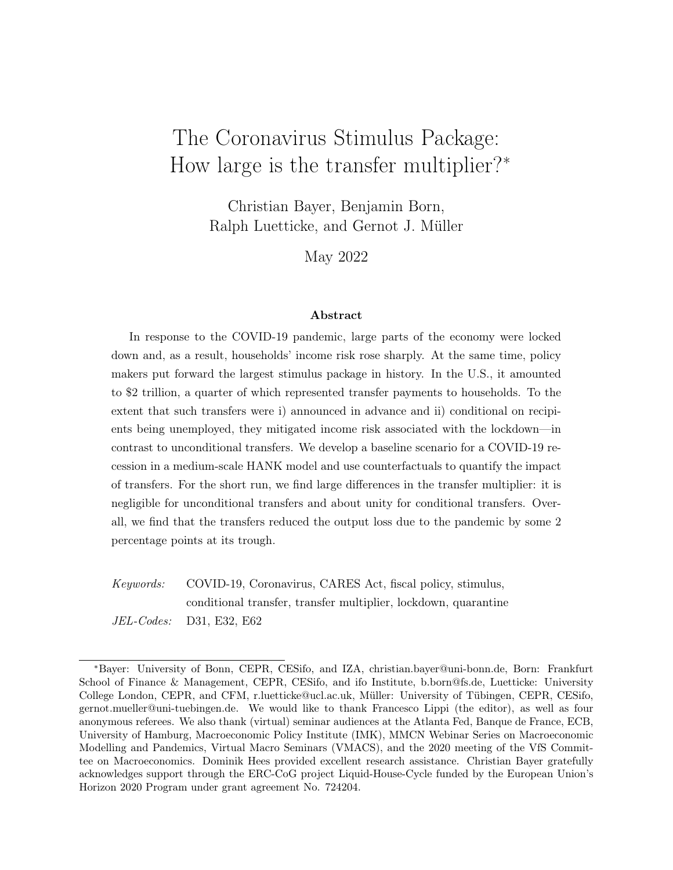and compensated by a share in prots. They do not participate in any asset market and have the same discount factor as all other households. Since managers are a mass-zero group in the economy, their consumption does not show up in any resource constraint and all but the unions' pro ts go to the entrepreneur households (whose  $= 0$ ). Union pro ts go lump sum to worker households.

#### 2.2.1 Labor Packers and Unions

Worker households sell their labor services to a mass-one continuum of unions indexed, by each of which o ers a di erent variety of labor to labor packers who then provide labor services to intermediate goods producers. Labor packers produce nal labor services according to the production function

$$
N_{t} = \begin{array}{c} Z & \frac{W}{W-1} & \frac{W}{W-1} \\ \Lambda_{jt}^{W} & \text{d}j \end{array} ; \tag{8}
$$

out of labor varieties  $n_{it}$ . Only a fraction H<sub>t</sub> of these workers nds themselves able to work, because, productivity weighted $(1 - H_t)$  is quarantined. Cost minimization by labor packers implies that each variety of labor, each union, faces a downward-sloping demand curve

$$
\hat{\mathsf{M}}_{jt} = \frac{W_{jt}}{W_t^F} \qquad W_t ; \qquad (9)
$$

where $W_{jt}$  is the nominal wage set by unionj and  $W_{t}^{F}$  is the nominal wage at which labor packers sell labor services to nal goods producers.

Since unions have market power, they pay the households a wage lower than the price at which they sell labor to labor packers. Given the nominal wage  $W_t$  at which they buy labor from households and given th**e**ominal wage indexW $_{\rm t}^{\rm F}$  , unions seek to maximize their discounted stream of prots. However, they face a Calvo-type (1983) adjustment friction (with indexation) with the probability  $w$  to keep wages constant. They therefore maximize

$$
E_0 \sum_{t=0}^{N} t \frac{t}{w} \frac{W_t^F}{P_t} N_t H_t \frac{(W_{jt} \frac{t}{W} - W_t}{W_t^F} \frac{W_t}{W_t^F} - \frac{W_{jt} \frac{t}{W}}{W_t^F} \frac{w}{W_t})
$$
(10)

by setting  $W_{it}$  in period t and keeping it constant except for indexation to  $_W$ , the steadystate wage in ation rate.

<sup>&</sup>lt;sup>9</sup>Since we solve the model by a rst-order perturbation in aggregate shocks, the assumption of riskneutrality only serves as a simplication in terms of writing down the model as managers do not face idiosyncratic income risks. With a rst-order perturbation, we have certainty equivalence for aggregate uctuations, rendering stochastic discount factors of agents constant whose borrowing constraints or idiosyncratic risks do not change.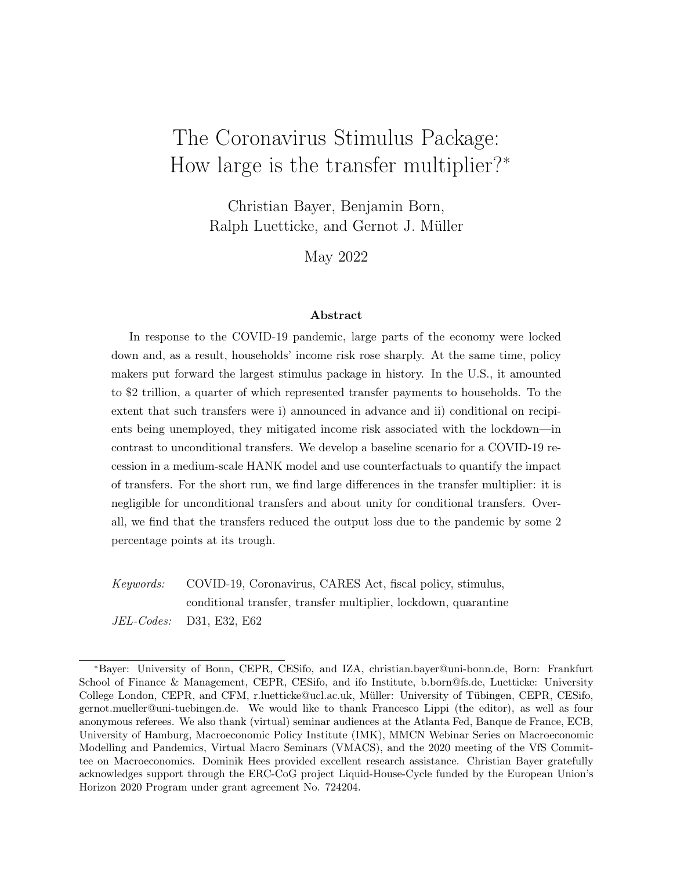Since all unions are symmetric, we focus on a symmetric equilibrium and obtain the linearized wage Phillips curve from the corresponding rst-order condition as follows, leaving out all terms irrelevant at a rst-order approximation around the stationary equilibrium:

$$
\log \frac{w}{w} = E_t \log \frac{w}{w} + w \frac{w_t}{w_t^F} - \frac{1}{w} ; \qquad (11)
$$

with  $W := \frac{W_t^F}{W_t^F} = \frac{W_t^F}{W_t^F}$  $_{\rm t}^\text{Y}$  being wage in ation, w<sub>t</sub> and w $_{\rm t}^{\text{F}}$  being the respectivereal wages for households and rms, and  $\frac{1}{w} = \frac{w-1}{w}$  $\frac{1}{w}$  being the target mark-down of wages the unions pay to households, $W_t$ , relative to the wages charged to rms, $W_t^F$ , and  $W_t = \frac{(1 - w)(1 - w)}{w}$  $\frac{1}{w}$ .

#### 2.2.2 Final Goods Producers

Similar to unions, nal goods producers di erentiate a homogeneous intermediate good and set prices. Each reseller in sector k faces a downward-sloping demand curve

$$
y_{jt} = k_t (p_{jt} = P_{kt}) \quad \text{F} \quad Y_{kt} \tag{12}
$$

and buys the intermediate good at the nominal pric $\mathbf{A} C_t$ . As we do for unions, we assume price adjustment frictions à la Calvo (1983) with indexation. We assume for simplicity that it is i.i.d. whether a sector is active or not and that this shock realizes after price setting.

Under this assumption, the rms' managers maximize the present value of real prots given this price adjustment friction, i.e., they maximize:

$$
E_0 \sum_{t=0}^{N} t t \gamma (1-t) Y_{kt} \quad (1 \sum_{t=0}^{N} \frac{p_{jt} t}{p_t} \frac{M C_t}{P_t} \frac{p_{jt} t}{p_t} \frac{r}{r} )
$$
 (13)

with a time constant discount factor, where  $\frac{y}{x}$  is the probability of price adjustment and is the steady-state in ation rate.

Since all sectors are symmetric and sectors are shut down randomly after price setting, all rms choose the same price when resetting it. Therefore, all sectoral price levels = R  $\sum_{j=2}^n S(k) p_j^1$  <sup>F</sup> dj  $\frac{1}{1-\epsilon}$  are the same and we denote this price level  $bB_{kt} = P_t^F$ . Yet, it implies a loss in nal consumption to the households that only the fraction of sectors can actually o er their varieties ( $k_t = 1$ ). This fraction is same as the fraction of workers in  $E$ , H<sub>t</sub>. Consumers lose out on varieties and this introduces a wedg $\overline{\vec{\theta}}^{\frac{1}{1 - \rm s}}$  between the average price set by all  $\rm\,rms,\,P_{t}^{F}$  , and the e ective  $P_{t}$  of the consumption aggregate (the ideal price index):  $P_t = P_t^F H_t^{\frac{1}{1-s}}$ . Vice versa, it implies that the real value of total output  $Y_t$  is by factor  $H_t^{\frac{-1}{s}}$  $t^{\text{s}^{-1}}$  smaller than the quantity of intermediate goods produced.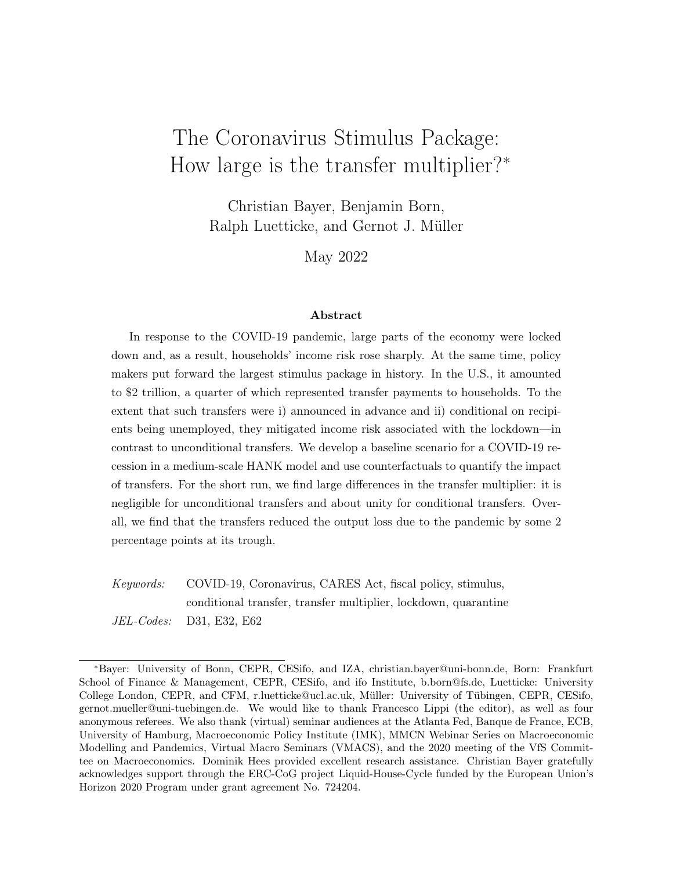We use this expression for the relationship between the average price of goods and the e ective price level to rewrite the maximization problem of price setters as:

$$
E_0 \xrightarrow{t \ t} \tfrac{t}{\sqrt{1}} (1 \t t)^{Y_t} \t i t H_t^{\frac{1}{s^{-1}}} \xleftarrow{B} \text{Q} \frac{p_{jt}}{P_t^F} \xleftarrow{M C_t} \frac{1}{H_t^{\frac{1}{s^{-1}}}} A \xrightarrow{p_{jt}} \frac{t}{P_t^F} \t= \t{(14)}
$$

which, through its corresponding rst-order condition for price setting, implies a Phillips curve for the average price

$$
\log \frac{f}{t} = E_t \log \frac{f}{t+1} + \gamma \quad mc_t = H_t^{\frac{1}{s-1}} + \frac{1}{\gamma} \quad ; \tag{15}
$$

where we again dropped all terms irrelevant for a rst-order approximation and have $_Y =$  $(1 \quad \gamma)(1 \quad \gamma)$  $\frac{1}{\gamma}$   $\rightarrow$   $\gamma$ ). Here,  $\frac{1}{t}$  is the gross in ation rate of the average price of nal goods, $\frac{1}{t}$  :=  $\frac{P_t^F}{P_{t-1}^F}$ , which, di erent from  $t$ , does not take into account whether a sector is locked down or not, mc<sub>t</sub> :=  $\frac{MC_t}{P_t}$  is the real marginal costs, and  $Y = \frac{F}{F-1}$  is the target markup. The e ective price P<sub>t</sub>, the ideal price index, then exhibits an in ation rate  $t = \frac{F}{t} - \frac{H_t - 1}{H_t}$  $H_{\rm t}$ 1  $\overline{\phantom{0}^{s-1}}$ .

Importantly, the love-of-variety term  $H_t^{-\frac{1}{s}}$  $t^{\frac{S}{S}-1}$  adds an element of as-if-perfectly-exible prices to the model. In the rst period in which the quarantine shock hits, some varieties are lost and H<sub>t</sub> falls. As a consequence, the e ective price level jumps up even if all individual prices remain constant because households cannot perfectly substitute the lost varieties. As households expect the quarantine to be reduced in the future, they expect varieties to return and hence a falling e ective price level from the love-of-variety component. This de ationary e ect of the return of varieties to the consumption basket increases the real interest rate that households face and leads them to save more. This is the key mechanism behind the Keynesian supply shocks in Guerrieri et al. (2022), as they explain in Section 3.1 of their paper.

#### 2.2.3 Intermediate Goods Producers

Intermediate goods are produced with a constant returns to scale production function, taking into account that a productivity weighted fraction  $H_t$  of labor and the fraction  $H_t$  of capital is quarantined:

$$
Y_t^F = (H_t N_t) (H_t u_t K_t)^{(1)} :
$$
 (16)

Here,  $u_tK_t$  is the e ective capital stock taking into account utilization  $u_t$ , i.e., the intensity with which the existing capital stock is used. Using capital with an intensity higher than normal results in increased depreciation of capital according to( $u_t$ ) =  $_0 + 1$  ( $u_t$  1) +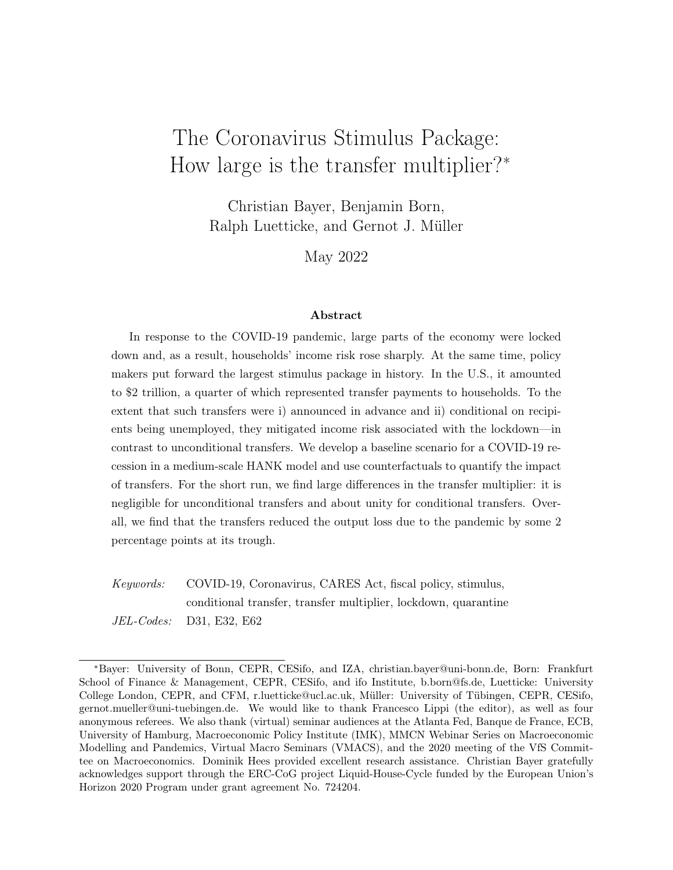$2=2$  (u<sub>t</sub> 1)<sup>2</sup>, which, assuming  $1$ ;  $2 > 0$ , is an increasing and convex function of utilization. Without loss of generality, capital utilization in the steady state is normalized to 1, so that  $_0$  denotes the steady-state depreciation rate of capital goods.

Let  $mc<sub>t</sub>$  be the relative price at which the intermediate good is sold to nal goods producers. The intermediate goods producer maximizes prots,

$$
mc_{t}Y_{t}^{F} H_{t}W_{t}^{F}N_{t} H_{t}[r_{t} + q_{t}(u_{t})]K_{t}; \qquad (17)
$$

where  $r_t^F$  and  $q$  are the rental rate of rms and the (producer) price of capital goods, respectively. Only non-quarantined factors receive payments. The intermediate goods producer operates in perfectly competitive markets, such that the real wage and the user costs of capital are given by the marginal products of labor and eective capital:

$$
w_t^F = mc_t \frac{u_t K_t H_t}{N_t H_t}^1 ; \qquad (18)
$$

$$
r_t^F + q \t (u_t) = u_t(1) \t m c_t \t \frac{N_t H_t}{u_t K_t H_t} \t (19)
$$

We assume that utilization is decided by the owners of the capital goods, taking the aggregate supply of capital services as given. The optimality condition for utilization is given by

$$
Q_{t}[1 + 2(u_{t} 1)] = (1) mc_{t} \frac{N_{t}H_{t}}{u_{t}K_{t}H_{t}} ; \qquad (20)
$$

i.e., capital owners increase utilization until the marginal maintenance costs equal the marginal product of capital services.

Total production  $Y_t = H_t^{\frac{1}{s}}$  $\frac{1}{t^{s-1}}Y_t^F$  is scaled by an additional termH $t^{s-1}_{t}$  $\overline{t}^s$ , which re ects the fact that the loss in varieties through the quarantine decreases the e ective productivity of the economy even further.

#### 2.2.4 Capital Goods Producers

Capital goods producers take the relative price of capital goods,, as given in deciding about their output, i.e., they maximize

$$
E_0 \sum_{t=0}^{N} {}^{t}I_t \quad q \quad 1 \quad \frac{1}{2} \quad \log \frac{I_t}{I_{t-1}} \quad \frac{1}{2} \quad \frac{1}{2} \quad \frac{1}{2} \quad \frac{1}{2} \quad \frac{1}{2} \quad \frac{1}{2} \quad \frac{1}{2} \quad \frac{1}{2} \quad \frac{1}{2} \quad \frac{1}{2} \quad \frac{1}{2} \quad \frac{1}{2} \quad \frac{1}{2} \quad \frac{1}{2} \quad \frac{1}{2} \quad \frac{1}{2} \quad \frac{1}{2} \quad \frac{1}{2} \quad \frac{1}{2} \quad \frac{1}{2} \quad \frac{1}{2} \quad \frac{1}{2} \quad \frac{1}{2} \quad \frac{1}{2} \quad \frac{1}{2} \quad \frac{1}{2} \quad \frac{1}{2} \quad \frac{1}{2} \quad \frac{1}{2} \quad \frac{1}{2} \quad \frac{1}{2} \quad \frac{1}{2} \quad \frac{1}{2} \quad \frac{1}{2} \quad \frac{1}{2} \quad \frac{1}{2} \quad \frac{1}{2} \quad \frac{1}{2} \quad \frac{1}{2} \quad \frac{1}{2} \quad \frac{1}{2} \quad \frac{1}{2} \quad \frac{1}{2} \quad \frac{1}{2} \quad \frac{1}{2} \quad \frac{1}{2} \quad \frac{1}{2} \quad \frac{1}{2} \quad \frac{1}{2} \quad \frac{1}{2} \quad \frac{1}{2} \quad \frac{1}{2} \quad \frac{1}{2} \quad \frac{1}{2} \quad \frac{1}{2} \quad \frac{1}{2} \quad \frac{1}{2} \quad \frac{1}{2} \quad \frac{1}{2} \quad \frac{1}{2} \quad \frac{1}{2} \quad \frac{1}{2} \quad \frac{1}{2} \quad \frac{1}{2} \quad \frac{1}{2} \quad \frac{1}{2} \quad \frac{1}{2} \quad \frac{1}{2} \quad \frac{1}{2} \quad \frac{1}{2} \quad \frac{1}{2} \quad \frac{1}{2} \quad \frac{1}{2} \quad \frac{1}{2} \quad \frac{1}{2} \quad \frac{1}{2} \quad \frac{1}{2} \quad \frac{1}{2} \quad \frac{1
$$

<sup>&</sup>lt;sup>10</sup>If the production unit is quarantined, quarantined capital is still depreciated at rate  $\overline{0}$   $\overline{1}$  +  $\overline{2}$ =2. This means capital owners receive an average dividend payment on their capital =  $r_t^F H_t$  (1  $H_t$ ) (0).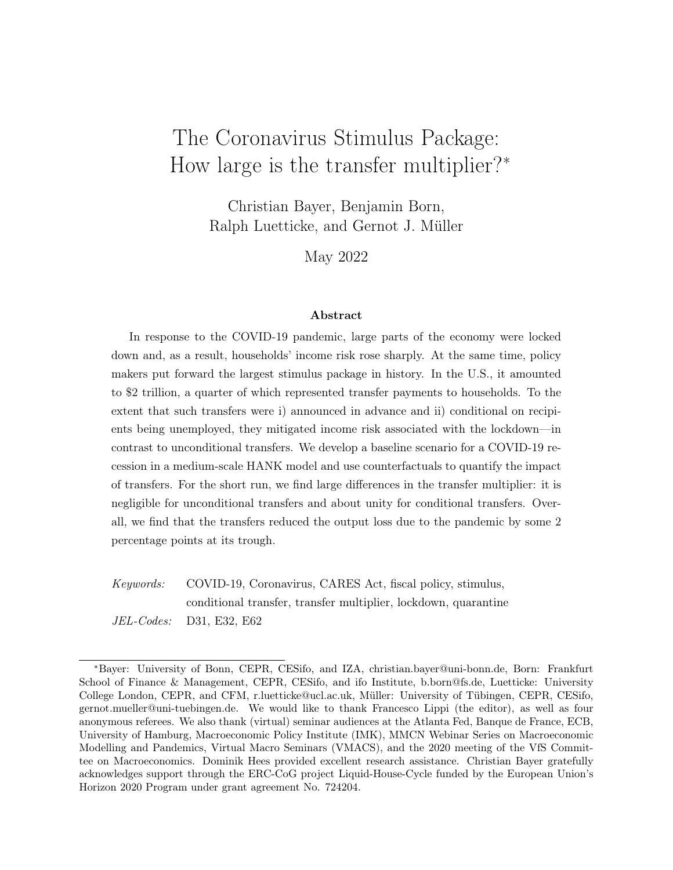Optimality of the capital goods production requires (again dropping all terms irrelevant up to rst order)

$$
q_{t} \quad 1 \qquad \log \frac{I_{t}}{I_{t-1}} = 1 \qquad E_{t} \quad q_{t+1} \quad \log \frac{I_{t+1}}{I_{t}} \qquad ; \tag{22}
$$

and each capital goods producer will adjust its production until (22) is fullled.

Since all capital goods producers are symmetric, we obtain as the law of motion for aggregate capital

$$
K_{t} \quad (1 \quad (u_{t})) \ K_{t-1} = \begin{array}{cc} 1 & \frac{1}{2} & \log \frac{1}{1+t} & \frac{1}{2} \\ 1 & \log \frac{1}{1+t} & 1 \end{array} \tag{23}
$$

The functional form assumption implies that investment adjustment costs are minimized and equal to0 in the steady state.

#### 2.3 Government

The government operates a monetary and a scal authority. The monetary authority controls the nominal interest rate on liquid assets, while the scal authority issues government bonds to nance decits and adjusts expenditures to stabilize debt in the long run.

We assume that in normal times monetary policy sets the nominal interest rate following a Taylor-type (1993) rule with interest rate smoothing:

$$
\frac{R_{t+1}^{b}}{R^{b}} = \frac{R_{t}^{b}}{R^{b}} \qquad \frac{F}{t} \qquad (1 \quad \text{R}) \qquad \frac{Y_{t}^{F}}{Y_{t-1}^{F}} \qquad (1 \quad \text{R}) \qquad \gamma \qquad (24)
$$

The coe cient  $R^b$ <sup>b</sup> 0 determines the nominal interest rate in the steady state. The coef cients 0,  $\gamma$  0 govern the extent to which the central bank attempts to stabilize ination and output. We assume that the central bank reacts to average, i.e., measured, in ation,  $\Phi$ , not e ective price in ation,  $\Phi$ <sub>t</sub>, that depends on substitution elasticities for quarantined products and services. The parameter  $\alpha$  0 captures interest rate smoothing. For the rst 21 months of the pandemic, March 2020 until December 2021, we assume that the central bank sets the interest rate to the zero-lower-bound and implement this via news shocks on the interest rate. Afterwards the interest rate reverts to the one implied by the Taylor rule.

The scal branch of the government follows a simple rule for spending that reacts only to the deviation of government debt from its long-run target in order to avoid scal dominance: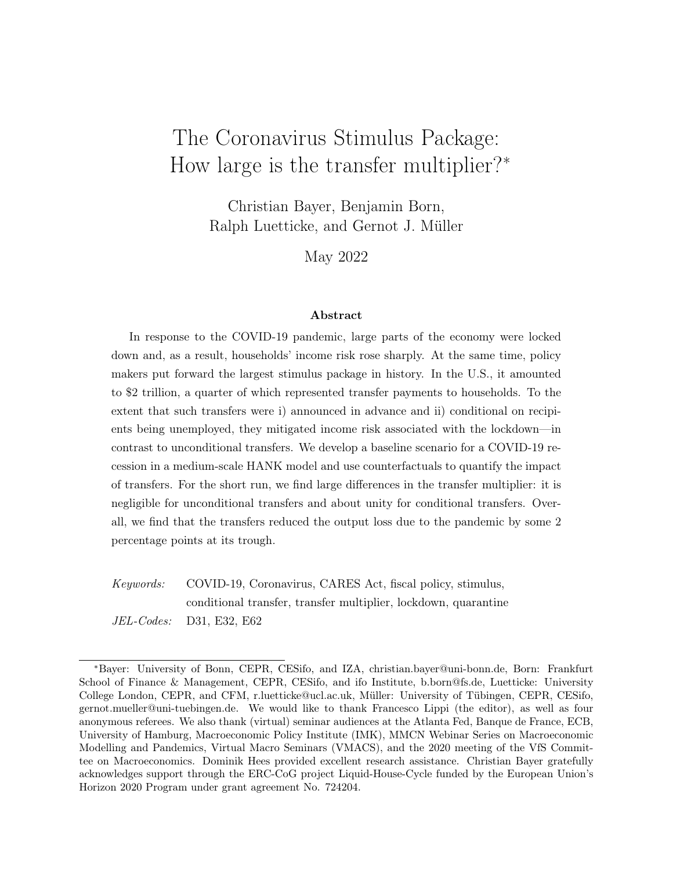$$
\frac{G_t}{G} = \frac{G_{t-1}}{G} \stackrel{G}{=} \frac{B_t}{B} \stackrel{(1-G) \stackrel{G}{B}}{=} ; \tag{25}
$$

where the coe cient  $\frac{G}{B}$  determines the speed at which government debt is returned to its target level.

The government levies a constant tax rate on labor income and pro ts so that total taxes  $T_t$  are are given by  $T_t =$  $_{t}^{\mathsf{U}}$  +  $_{t}^{\mathsf{F}}$  and the government budget constraint determines government debt residually:

$$
B_{t+1} = R_t^b = {}_t B_t + G_t \quad T_t + \quad T_t(h_{it})di + (1) \qquad \qquad R(h_{it}; e_t)(h_{it} w_t N_t + I_{h_{it} \, \theta0} \quad {}_t^U)di : (26)
$$

### 2.4 Goods, Bonds, Capital, and Labor Market Clearing

The labor market clears at the competitive wage given in (18). The bond market clears whenever the following equation holds:

$$
B_{t+1} = B^{d}(R^{b}_{t}; p^{in}_{q;t}; r_{t}; q; \quad f^{t}; \quad u^{t}; w_{t}; \quad t; T_{t}; \quad t; E_{t}V_{t+1}) := E_{t} \quad b_{a;t} + (1) \quad b_{n;t} \quad ; \tag{27}
$$

where $b_{a;t}$ ;  $b_{n;t}$  are functions of the states(b; k; h; e), and depend on how households value asset holdings in the future,  $V_{t+1}$  (b; k; h; e), and current prices  $(R_t^b; p_{q;t}^{in}; r_t; q; \frac{F}{t}; \frac{U}{t}; w_t; \frac{F}{t}; T_t)$ . Future prices do not show up because we can express the value functions such that they summarize all relevant information on the expected future price paths. Expectations in the right-hand-side expression are taken w.r.t. the distribution  $_{t}(b; k; h; \theta)$ . Equilibrium requires the total net amount of bonds the household sector demand $B$ <sup>d</sup>, to equal the supply of government bonds. In gross terms there are more liquid assets in circulation as some households borrow up  $t\mathbf{B}$ .

Last, the market for capital has to clear:

$$
K_{t+1} = K^{d}(R_{t}^{b}, p_{q,t}^{in}; r_{t}; q; F_{t}^{in}; w_{t}; t; T_{t}; t; E_{t}V_{t+1}) := E_{t}[k_{t} + (1 \quad k]; (28)
$$

where the rst equation stems from competition in the production of capital goods, and the second equation de nes the aggregate supply of funds from households both those that trade capital,  $k_t$ , and those that do not,  $(1)$  )k. Again  $k_t$  is a function of the current prices and continuation values. The goods market then clears due to Walras' law, whenever labor, bonds, and capital markets clear.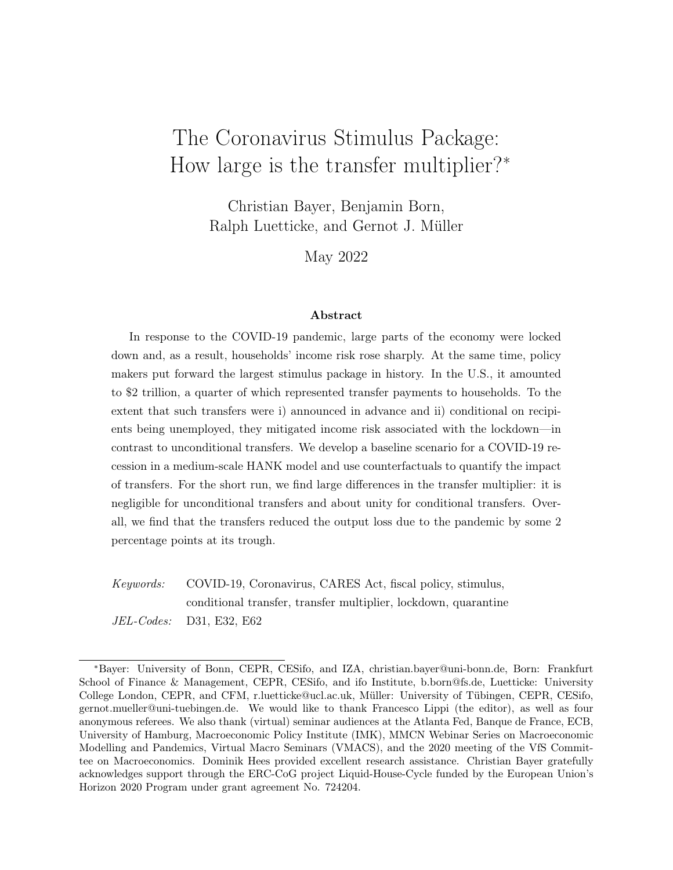| Parameter                           | Value  | <b>Description</b>        | Parameter                | Value   | Description                |
|-------------------------------------|--------|---------------------------|--------------------------|---------|----------------------------|
| Households                          |        |                           | <b>Nominal frictions</b> |         |                            |
|                                     | 0.99   | Discount factor           | Y                        | 0.009   | Price rigidity             |
|                                     | 4.00   | Relative risk aversion    | w                        | 0.011   | Wage rigidity              |
|                                     | 2.00   | Inverse Frisch elasticity | Firms                    |         |                            |
|                                     | 5.00%  | Portfolio adj. prob.      |                          | 0.68    | Share of labor             |
| <b>Idiosyncratic Productivity</b>   |        |                           | $\Omega$                 | 0.58%   | Depreciation rate          |
| h                                   | 0.99   | Persistence               | F                        | 11.00   | Elasticity within sectors  |
| h                                   | 6.93%  | Standard deviation        | S                        | 3.50    | Elasticity between sectors |
|                                     | 0.02%  | Trans. prob. W.!<br>Е.    | W                        | 11.00   | Elasticity of substitution |
|                                     | 2.37%  | Trans. prob. E.!<br>W.    | <b>Monetary Policy</b>   |         |                            |
| <b>Labor Market Transitions</b>     |        |                           | $\mathsf{R}$             | 0.93    | Inertia                    |
|                                     | 0.03%  | Trans. prob. E ! Q        |                          | 1.50    | In ation reaction          |
| $p_{q;ss}^{in}$<br>$p_{q}^{out; E}$ | 25.00% | Trans. prob.Q! E          | Y                        | 0.20    | Output reaction            |
| pout; U                             | 8.33%  | Trans. prob.Q! U          | <b>Fiscal Policy</b>     |         |                            |
| pin                                 | 1.20%  | Trans. prob.E! U          | G                        | 0.98    | Inertia Spending           |
| pout                                | 20.00% | Trans. prob.U! E          | $\frac{G}{B}$            | $-0.75$ | <b>Reaction Debt</b>       |
| Q Process                           |        |                           |                          | 0.20    | Tax rate level             |
| Q                                   | 0.86   | Autocorrelation           | <b>Real frictions</b>    |         |                            |
| Q, Y                                | 0.04   | Feedback activity!<br>Q   | s                        | 1.289   | Capital utilization        |
|                                     |        |                           |                          | 1.000   | Investment adjustment      |

Table 1: External/calibrated parameters (monthly frequency)

# 3 Parameterization

We solve the model by perturbation methods (Bayer and Luetticke, 2020; Bayer et al., 2020) and parameterize the model atmonthly frequency in the following way. First, we calibrate or x all parameters that determine the steady state of the model. Second, we specify the values of those parameters that govern the dynamics of the model in line with estimates from the literature.

Table 1 summarizes all parameter values. On the household side, we model the tate as regular unemployment. We target an unemployment rate of 6% and an average duration of 5 months in line with US data for the period 1980 2019, which yield $\mathsf{p}^\mathsf{in}_{\mathsf{u}} = 1.2\%$  and  $p_u^{\text{out}}$  = 20%. The Q-state, by contrast, is a rare state with probability mass in the steady state of almost zero  $\hat{\mathsf{p}}_{\text{q;ss}}^{\text{in}} = 0.03\%$ . In both states, households receive government transfers that replace 25% of their after-tax labor income capped at 50% of median income. Households in the Q-state receive an additional\$2,400 per month. The exit probability from theQstate is 33.33% per month  ${\sf p}_q^{{\sf out};\,\mathsf{E}}$  +  ${\sf p}_q^{{\sf out};\,\mathsf{U}}$  = 1=3) so that the expected lockdown duration

<sup>&</sup>lt;sup>11</sup> Here we assume an average of the stipulated replacement rate (40%) and the worst case replacement rate (10%) computed by Krueger et al. (2016). This number takes into account that the eligibility, up-take, and duration of unemployment bene ts is limited.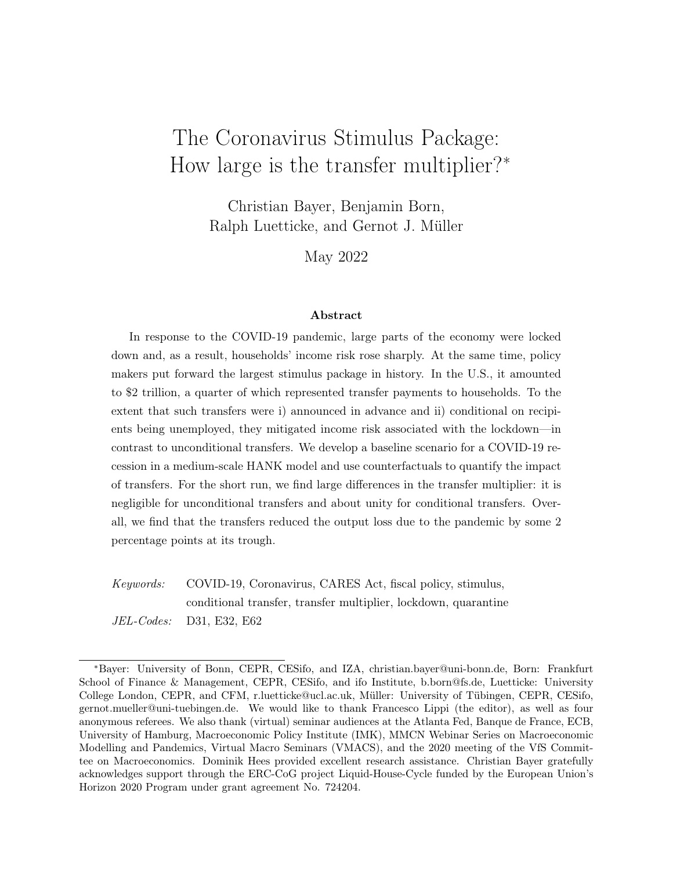is 3 months. When exiting theQ-state, there is a 75%-chance of directly being employed. In our experiments in the next section, the aggregate Q-shock increases, the probability of entering the Q-state. As explained, we allow the probability of entering theQ-state to depend on labor productivity. In particular, we match the incidence of job losses across the income distribution during March/April 2020 as documented in Mongey et al. (2021). For that purpose, we assume that the likelihood of entering the astate is described by a logistic function in labor income, where the probability for the 25th percentile of the income distribution is three times higher than for the 75th percentile. The parameters of Process (2) are set to  $_{\text{Q}} = 0.86$  and  $_{\text{Q}} = 0.04$  in order to match aggregate unemployment dynamics, as discussed in more detail in Section 4.1 below.

We take estimates for idiosyncratic income risk (after tax and transfers) from Storesletten et al. (2004), assuming  $h = 0.993$  and  $h = 0.069$ . Guvenen et al. (2014) provide the probability that a household will fall out of the top 1% of the income distribution in a given year, which we take as the transition probability from entrepreneur to worker, = 2:37%.

We set the relative risk aversion to 4, which is common in the incomplete markets literature; see Kaplan and Violante (2014). We set the Frisch elasticity to 0.5; see Chetty et al. (2011). For the calibration of the remaining household parameters, we match 4 targets: 1) average illiquid assets (K/Y=286% annual), 2) average liquidity (B/Y=47% annual), 3) the fraction of borrowers, 16%, and 4) the average top 10% share of wealth, which is 67%. This yields a monthly discount factor of0:991, a monthly portfolio adjustment probability of 5:0%, a borrowing limit of two average monthly incomes, and a transition probability from worker to entrepreneur of0:02%<sup>13</sup>

For the rm side, we set the elasticity of substitution between di erentiated goods within a sector to 11, which yields a markup of 10%. The labor share in production, is 68%, implying a labor income share o62% given the 10% markup. The elasticity of substitution between labor varieties is also set to 11, yielding a wage markup of 10%, which is, however, redistributed to workers, leaving the labor income share unchanged. The depreciation rate is 0:58% per month. All these are standard values in the literature. We set the elasticity of substitution across sectors to 3.5, somewhat below the intertemporal elasticity of substitution. This ensures that the Q-shock shares the features of a Keynesian supply shock as put forward by Guerrieri et al. (2022), in addition to raising the income risk of households.

The government taxes labor and prot income. The level of taxes in the steady state, , is set to clear the government budget constraint at a level of government spending that

 $12$ Speci cally, they nd that below median labor income workers are three times more likely to become unemployed (see their Figure 5B).

<sup>&</sup>lt;sup>13</sup> Detailed data descriptions and sources can be found in Appendix A.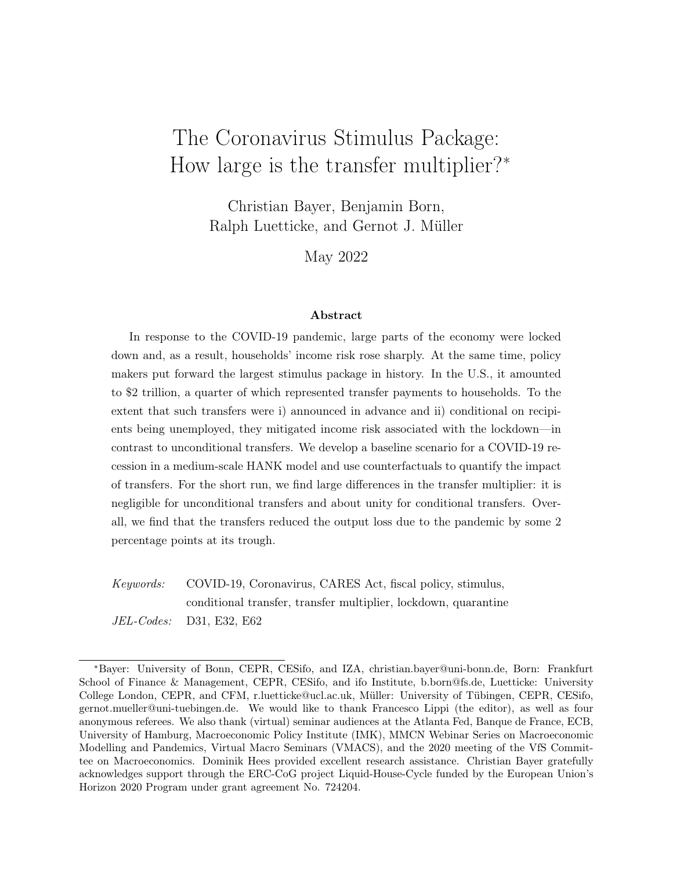amounts to 15% of output. As we have assumed indexation to the steady-state in ation rate in the Phillips curves, we set the steady-state in ation rate w.l.o.g. to zero. The steady-state net interest rate is set to 0.0%, too, in order to capture the average federal funds rate in real terms minus output growth.

The Taylor rule coe cients on in ation, 1:5, output growth, 0:2, and interest rate inertia, 0:93 at a monthly level, are in line with the literature. The scal rule that governs spending is parameterized to ensure that public debt is slowly brought back to the steady state after a debt build-up. The parameters that govern the real and nominal frictions are set to the values estimated via Bayesian methods by Bayer et al. (2020). The parameter values for nominal frictions are in line with the representative-agent literature, with price and wage stickiness being less than 12 months on average.

# 4 Results

Having set up and calibrated the model, we use it to quantify the e ects of the CARES transfers. In a rst step, we develop our baseline scenario for which we expose the model economy to the quarantine shock, or Q-shock for short. We specify the shock in such a way that the model predictions match the actual developments of the unemployment rate during 2020/21 because the exceptionally strong rise of U.S. unemployment is one of the dening features of the COVID-19 recession. Next, we benchmark the predictions of the model for other variables against actual developments and nd the model performs rather well.

To assess the e ect of the Coronavirus stimulus which is put in place under the baseline scenario we study a counterfactual where the stimulus is switched o. For the entire package, we nd a transfer multiplier of about 0.5. As we explore systematically the determinants of the multiplier, we identify a number of important aspects. In particular, the multiplier of the conditional transfer, that is, the Federal Pandemic Unemployment Compensation (FPUC), exceeds 1 when it comes online because it limits the idiosyncratic income risk triggered by the Q-shock. Finally, we also look at the distributional and welfare consequences of the Q-shock and the CARES package. Here, we nd that the shock itself has signicant welfare costs, especially for those households that lack nancial resources to self insure, and the CARES package is well able to eliminate these negative welfare consequences.

### 4.1 The Q-shock

In our model, the COVID-19 recession is caused by the Q-shock: it causes a reduction of the level of economic activity either voluntary to avoid infection risk or mandated via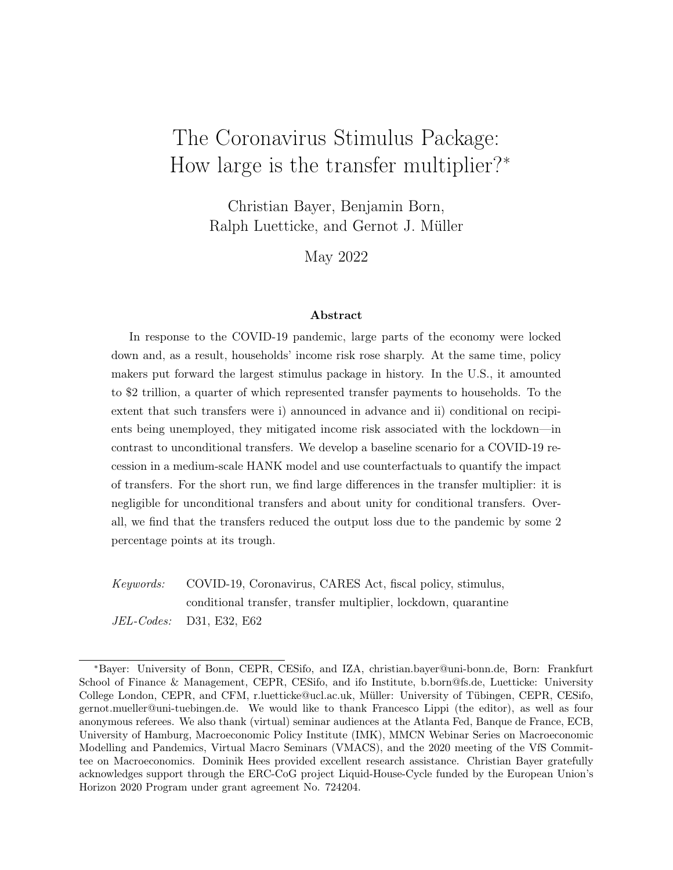lockdowns and applies to workers, capital, and nal-goods sectors alike. While the Q-shock causes exogenously a reduction of activity, the model allows for feedback from economic activity to the state of the pandemic. In the model, we capture such feedback via a stylized rule and omit microfoundations developed elsewhere (see, e.g., Eichenbaum et al., 2021).

While under quarantine, nal goods are temporarily unavailable for consumption; capital and workers, in turn, do not receive market income. Workers that lose their income and job because of the Q-shock qualify for FPUC which provides, on top of regular unemployment bene ts to which an individual is entitled to under state laws, a \$600 bene t for each week of unemployment between April 5, 2020 and July 31, 2020. After July 2020, a number of additional assistance measures were put in place, but they were only available for a limited time and we abstract from those payments in order to measure the eect of the transfers under the CARES act as initially specied.

To determine the size and the persistence of the Q-shock as well as the endogenous feedback from the economy to the state of the pandemic determined by Equation (2) above, we target the actual time path of the unemployment rate. As a result, the total amount of FPUC payments in the model sums to \$274 billion during 2020, which is very close to the actual amount of \$265 billion<sup>14</sup> Speci cally, we assume innovations to the Q-shock process in March, April and May 2020 such that the average quarantine risk amounts to 1, 11, and 3 percent, respectively. Thereafter, there are no further innovations to the Q-proce<sup>1</sup>sThe sequence of innovations to the Q-shock process becomes fully known in February (period 1), that is, innovations are modelled as news shocks. As a result, the future path of the probability to enter the Q-state is fully known and there is noaggregaterisk. However, income risk at the individual level is very high because it is unclear which worker will end up in the Q-state. That said, we stress that our baseline is still conservative because the 3 percent quarantine risk for May is considerably below what would be observed without the anticipated innovation for May. In a series of robustness checks on the information structure, we rst consider a variant with incomplete anticipation such that households expect in March a much higher income risk in May and are positively surprised in April. Second, we consider an alternative that features an anticipated second wave of quarantines in late 2020.

Given the parameterization detailed in Section 3 above, we pick the parameter values which govern the endogenous feedback from aggregate activity to to the process,  $_{Q,Y}$ , and

<sup>14</sup>Measured as total outlays documented by the Bureau of Economic Analysis in the personal income statistics under Pandemic Unemployment Compensation Payments. See also our Data Appendix A.

<sup>&</sup>lt;sup>15</sup>Since the FPUC payments are tied to unemployment caused by the Q-shock, our analysis assumes that FPUC payments start already in March (rather than in April). Yet the payouts in March are very small. Assuming instead that the newly unemployed in March receive regular unemployment benets does not alter our results below in a material way.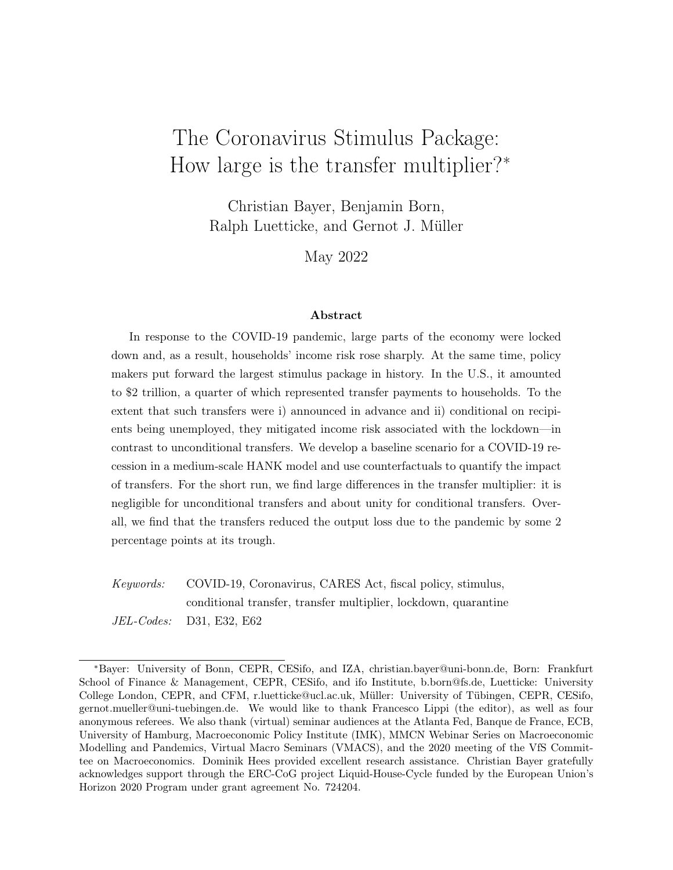A) Unemployment: model v data B) Unemployment: lowest income tercile

C) Unemployment: middle income tercile D) Unemployment: highest income tercile

Figure 2: Unemployment rate. Notes: unemployment rate is measured in percentage-point detrended deviation from February-2020 level; black solid line is model prediction, red dotted line represents data.

its autocorrelation,  $\alpha$ , to target the sharp decline in unemployment rates between May and September 2020 and the relatively at tail between September 2020 and September 2021. Note that our parameterization also implies that workers in theQ-state have a seven times higher likelihood to become regular unemployed than employed workers have (in the state).

Besides the FPUC payments that are linked in our model to theQ-state, the CARES Act also established another transfer: a one-time payment of \$1,200 to everybody, except for households in the top 10% of the income distribution. This is a minor form of conditionality and we capture this in the model by linking it to productivity h. Still, in what follows, we refer to it, to highlight the di erence to the FPUC payments, as unconditional transfers. In the simulations, we assume that, as of March 2020, these payments are known to arrive in April. The total transfer to an entitled person amounts to \$1,200 and \$283 billion in total. In the aggregate, the two transfer components are thus of approximately the same size.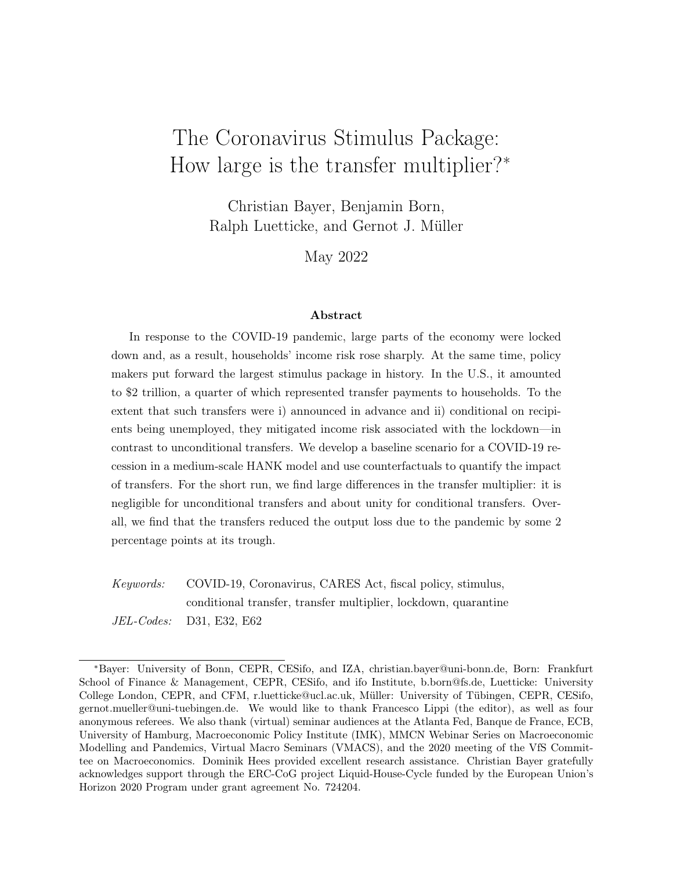By construction, the model captures the actual development of the unemployment rate during the COVID-19 recession, as Panel A) of Figure 2 illustrates. Here, and in what follows, the horizontal axis measures time at monthly frequency from February 2020 to December 2021. The predictions of the model are shown by the black solid line and compared to the data in shown by the red dotted line. The vertical axis measures the deviation (in percentage points) from the pre-shock level observed in February 2020. Total unemployment peaks in April at 11 percentage points (above its February level) and declines afterwards. In the other panels of the same gure, we zoom in on the evolution of income-tercile-specic unemployment rates as predicted by the model and contrast it with the actual developments of the unemployment rate for three distinct education groups: no high-school or high-school graduates w/o college or less (Panel B), some college (Panel C), and Bachelor degree (Panel D), as reported in the FRED database maintained at the St. Louis Fed. Each of the three groups represents roughly one third of the labor force. It turns out that the model predictions for the incidence of unemployment across the three terciles captures the actual developments for the three education groups rather well. A key aspect of these developments is that the incidence of the unemployment rate is considerably higher in the low-income group (Panel B). Here the unemployment rate peaks some 15 percentage points above its pre-shock level. For the high-income group (Panel D), the peak is at about 6 percentage points only. This is consistent with evidence reported by Mongey et al. (2021) and Cortes and Forsythe (2021) which shows that low-education and low-income occupations were indeed disproportionately exposed to the pandemic shock.

In Figure 3, Panel A), we decompose the increase of the total unemployment rate into the underlying states. Initially, all additional unemployed are in theQ-state (golden dotted line) and hence receive FPUC in addition to regular unemployment benets. Over time, as more and more workers exit theQ-state, the number of workers in regular unemployment increases, but the increase remains moderate compared to the initial jump of the unemployment rate. As a result, about two-thirds of the FPUC is paid out in the period up to July 2020.<sup>6</sup> Because the FPUC payments are relatively large and do not vary with income, they imply replacement rates that are falling in income. This is shown in Panel B) of Figure 3. The replacement rate for regular unemployment benets is shown in red and the one implied by the FPUC in gold, for each of the nine equally large income groups which we track in the state-space of the model (roughly deciles of the income distribution). For regular unemployment benets our model calibration implies a replacement rate of 25%, and homogeneously across the

 $16$ As detailed in Section 3, our simulation assumes a smooth transition from theQ-state to regular unemployment. This is a computationally e cient way to approximate the discrete termination of the FPUC payments in July 2020. It also captures the initial uncertainty about the termination of the FPUC scheme because it renders the duration of FPUC payments stochastic from an individual worker's perspective.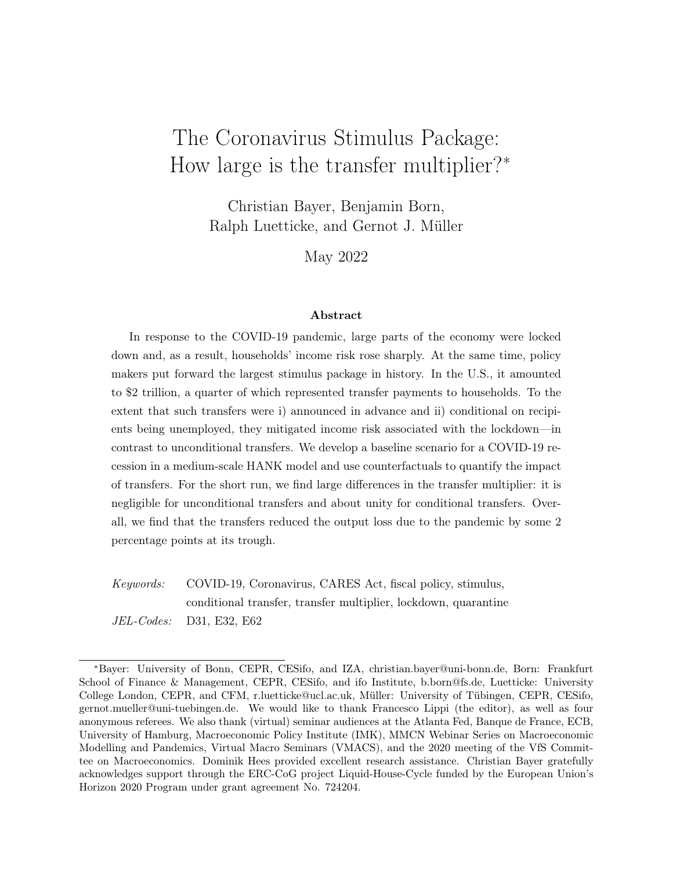Figure 3: Unemployment states and replacement rates. Notes: Panel A shows composition of total unemployed (black solid) into those with FPUC (golden dotted line) and those with only regular unemployment benets (red dashed line). Panel B shows replacement rates across income states, both in the regular state (red) and the top-up in Q-state (gold).

income distribution. Accounting for FPUC, raises the replacement rate to more than 150% at the bottom of the income distribution. It also raises it at the top but much less so. That replacement rates for the unemployed exceeded 100% because of the FPUC has been widely discussed (Ganong et al., 2020). In fact, as we show below, this feature of the CARES package adds to its e ectiveness in terms of stabilizing economic activity.

### 4.2 The COVID-19 recession

We have speci ed the Q-shock such that model prediction for the unemployment rate aligns well with actual developments. We now turn to the model predictions for the broader macroeconomic impact of the Q-shock, comparing predictions for the behavior of selected variables to their empirical counterparts. For this purpose, we remove (when necessary) an HP-trend from the actual time series data and consider the developments from February  $2020$  to December 2021, relative to the pre-shock period. In our discussion, we abstract from the e ects of other shocks, assuming e ectively that the macroeconomic developments during 2020/21 have been dominated by the pandemic. The red dotted line in Figure 4 shows the data, the black solid line the model prediction under the baseline which importantly features the CARES transfers payments as discussed in the previous section.

Panel A) shows the adjustment of output which contracts sharply: Relative to the pre-COVID level, output declines by 10 percent. Here the prediction of the model is right on

<sup>&</sup>lt;sup>17</sup>Quarterly series are transformed to monthly frequency via cubic spline interpolation, c.f. Appendix A.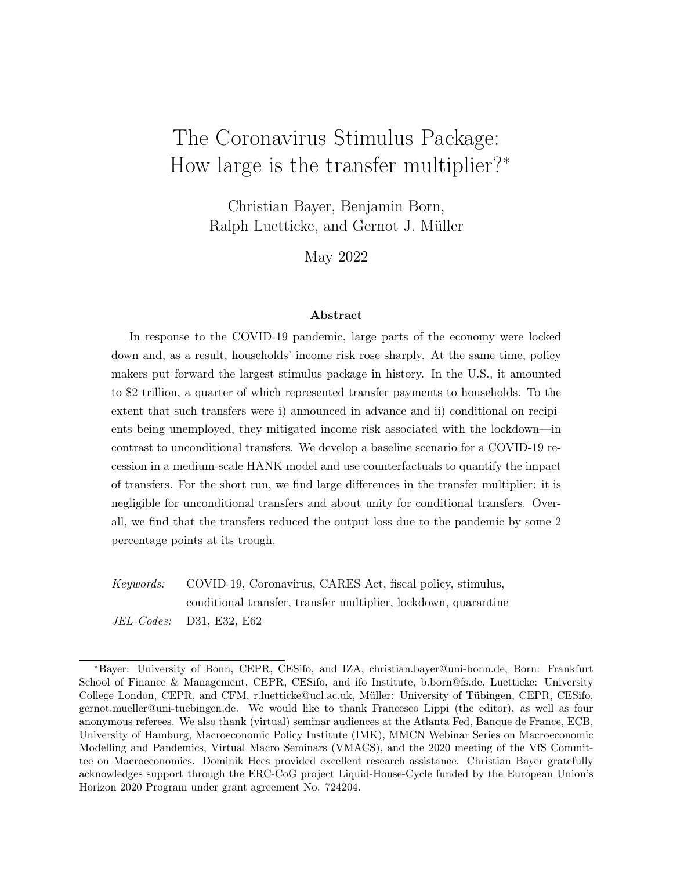A) Output B) Consumption

C) Investment D) Debt-to-output ratio

E) In ation F) Policy rate

Figure 4: Impulse responses to Q-shock. Notes: for details on data see Appendix A. Output, consumption, and investment are de ated with the actual price index $P_{t}^{F}$ rather than the ideal price index  $P_t$ . Panel E) depicts annualized month-onmonth in ation rate (based on  $P_t^F$ ), measured against the left axis (model) and against the right axis (right). Y-axis: Percentage deviation from steady state, annualized percentage points in case of (m-o-m) in ation and interest rate. Xaxis: Months.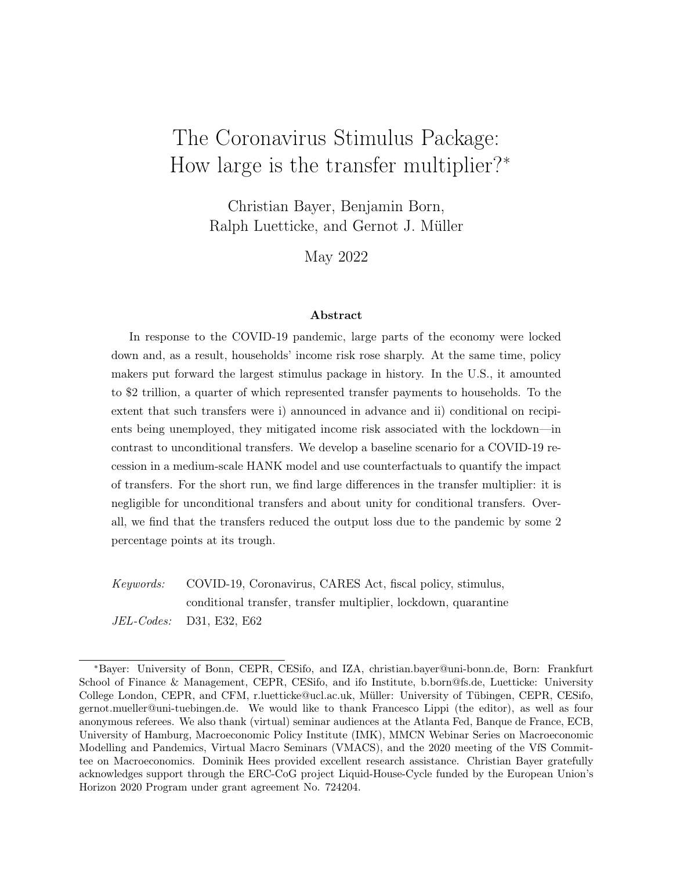track: the maximum e ect is very similar and takes place only a little bit earlier compared to the data (cf the black solid and the red dotted lines). The recovery of economic activity predicted by the model is also very similar to the actual developments, even though it is a little bit slower towards the end of the period under consideration. We show the adjustment of consumption and investment in Panels B) and C) of the same gure. Again we observe that the predictions of the model align quite well with actual developments, although the model overpredicts the drop in investment somewhat. In any case, it bears noting that the contraction of consumption is stronger than the response of investment, both according to the data and the model. This pattern sets the COVID-19 recession apart from more conventional business cycles. Panel D) shows the response of public debt, measured in percent of current output (and relative to the January level). It increases sharply, but less so in the model than in the data. This is unsurprising because the CARES package also features a number of additional expenditure items which we do not consider in our analysis. Towards the end of the period under consideration, the actual debt-to-output ratio declines rather swiftly because output rebounds. Nevertheless, the pandemic and the CARES package leave their mark on public debt for an extended period.

The developments of ination are shown in the bottom-left panel of Figure 4. Here, the model predictions fail to capture the actual dynamics observed during 2020/21 from a quantitative point of view.<sup>18</sup> For this reason, we measure the model predictions against the left axis and the data against the right axis. Initially, the monthly in ation rate drops sharply in the data by some 10 percentage points (annualized). This drop of in ation is often taken as evidence that that the pandemic while apparently a supply shock induced substantial demand shortages, too (for instance, Fornaro and Wolf, 2020; Baqaee and Farhi, 2021). Yet, it turns out, that capturing the impact of the pandemic on in ation is both conceptually and quantitatively challenging, even in models which allow for the pandemic to operate via a demand contraction (Guerrieri et al., 2022; Dietrich et al., 2022). Against this background it is noteworthy that our model predicts the in ation developments fairly well at least from a qualitative point of view. It predicts a strong drop of in ation in March 2020, followed by a gradual recovery over time. This is because in the model there is initially a contraction of both supply and demand. First and foremost, the Q-shock reduces the eective labor force and the eective capital stock in the economy and thus lowers its productive capacity. But the same shockand this is the focus of our analysis below also adversely impacts aggregate demand, through the love-of-variety eect due to Guerrieri

<sup>&</sup>lt;sup>18</sup> According to widely held believes, actual in ation dynamics are to a considerable extent driven by uctuations in commodity prices, also in the context of the pandemic (see, for instance, Budianto et al., 2021). We do not consider these in our model.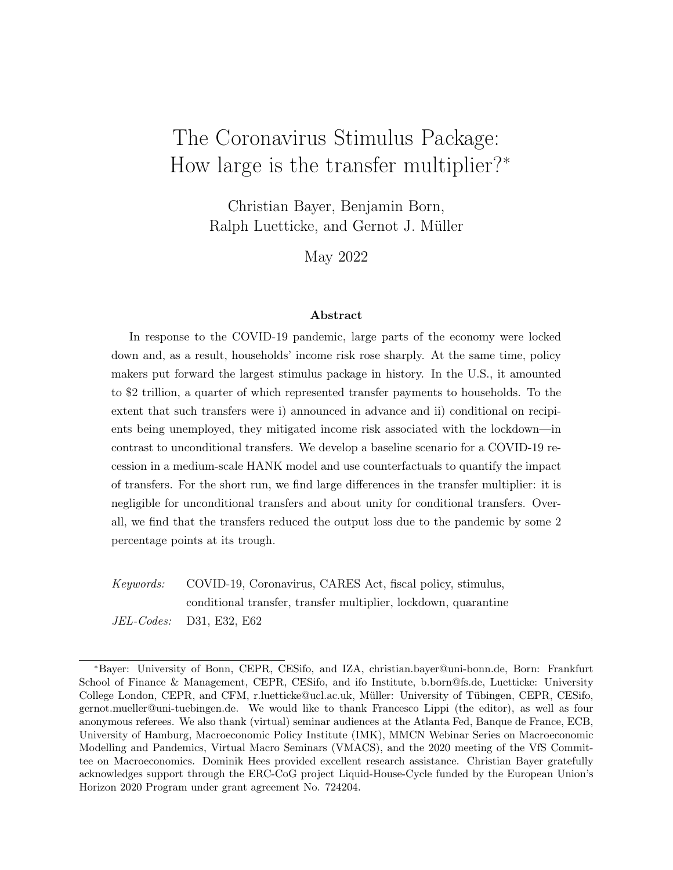et al. (2022), but notably also as it increases idiosyncratic income risk. Households try to self-insure against this risk by increasing their liquid saving<sup>9</sup>. This, in turn, generates a reduction of demand, as apparent from the consumption response shown in Panel B).

Lastly, in Panel F) we show the response of the policy rate. In line with actual developments, the model assumes a reduction of the policy rate by 1.5 percentage points in March 2020. This brings the policy rate to its lower bound which constrains monetary policy throughout the period under consideration.<sup>20</sup>

Overall, we nd that the model predictions under the baseline align rather well with actual developments during 2020/21 with the exception of in ation. The alternative version of the model where the Q-shock is not fully anticipated predicts a much larger drop in ination early in the COVID-19 recession (see Figure A.2 in Appendix B), suggesting that expectations have been excessively negative at the onset of the pandemic. Still, for the baseline we opt for the conservative scenario. All other aggregate dynamics are very similar in the two information treatments.

Against this background, we can determine the macroeconomic impact of the transfers under the CARES package through a counterfactual. Specically, we simulate the model response to the same Q-shock as above, but assume counterfactually that workers in the Q-state do not receive any additional unemployment benet beyond the level which they receive in the regular unemployment state. In other words, there are no FPUC payments in the counterfactual and neither is there an unconditional transfer. The model prediction for this counterfactual scenario appear as the blue dashed lines in Figure 4. Comparing them to the baseline (black solid) lines allows us to quantify how the Coronavirus stimulus contributed to the economic adjustment to the pandemic.

We nd that absent the stimulus, the collapse of economic activity at its trough would have been almost 2 percentage points larger. And the recovery during the second half of 2020 would have been markedly slower such that the cumulative output loss would have been larger by about 13 percent (of monthly GDP). This is because absent the CARES transfers the economy would have su ered from a stronger contraction of consumption. Investment, too, would have declined more strongly. Perhaps unsurprisingly, the debt-to-output ratio would

<sup>&</sup>lt;sup>19</sup>In terms of aggregate dynamics this looks like a risk premium shock, a driving force of business cycles in standard macro models (see, for instance, Smets and Wouters, 2007).

<sup>&</sup>lt;sup>20</sup>Concretely, we feed into the model a series of news about monetary policy such that households correctly expect the policy rate to be at the e ective lower bound from April 2020 to December 2021. This is also in line with the 2020 FOMC projections for the Federal Funds Rate. After 2021, we assume that the policy rate follows the Taylor rule again.

 $21$ Cox et al. (2020) provide evidence in support of our results. They use household-level bank data and document that, after an initial drop, spending has rebounded most rapidly for low-income households since mid-April 2020. According to the authors this suggests that the CARES stimulus program played an important role in limiting the e ects of labor market disruptions on spending.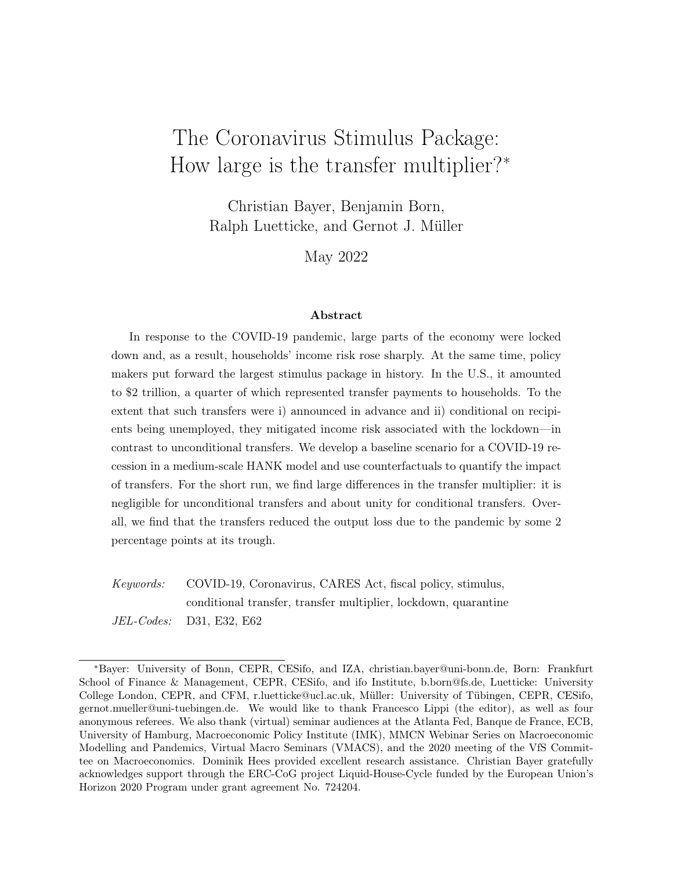have increased somewhat less strongty. And while we do not observe a material di erence in the response of monetary policy in Panel F), there is a noticeable di erence between the counterfactual and the baseline in Panel  $E$ ): In ation declines considerably more strongly in the counterfactual. This, in turn, illustrates that transfer payments contribute to stabilizing aggregate demand, in particular by providing insurancea key aspect which we discuss in more detail in the next section.

### 4.3 The Transfer Multiplier

We nally turn to the question that motivates our analysis: How large is the transfer multiplier? To answer this question, it is important to distinguish transfers which are paid to the unemployed (via the FPUC) and the by and large unconditional transfer payments which have also been part of the CARES package. Panel A) in Figure 5 displays the transfer multipliers for our baseline speci cation. Here, we measure time, as before, in months along the horizontal axis and the cumulative multiplier along the vertical axis: the cumulative output change in all periods up to horizonk that is due to the transfer, divided by the cumulative transfer payments up to the same horizon (see, for instance, Ramey, 2019). In the gure, we show the cumulative transfer multiplier from period 3 onward. This corresponds to April 2020 in our analysis when sizeable FPUC payments are starting to come online. Before April, hardly any (no) transfers are being payed out in the model (in the data).

The black solid line shows the multiplier for the total transfers to households provided for by the CARES Act. Initially, that is, in period 3 (April 2020), the cumulative multiplier is small, a nding familiar from earlier model-based analyses (Coenen et al., 2012; McKay and Reis, 2016; Giambattista and Pennings, 201 $\frac{33}{10}$ . To shed more light on our result, we decompose the multiplier: the green dashed line and the golden dashed-dotted line in Panel A) represent the multiplier for the conditional and the unconditional transfer under the CARES Act. Here we obtain values of close to unity and basically zero, respectively. The overall multiplier is an average of the two weighted with cumulative payments.

The dierence is rather stark and two aspects are key for this. First, the conditional transfer is directed to the unemployed who have a high marginal propensity to consume. Importantly, this matters already before the transfer is paid out. As shown by Auclert et al.

<sup>&</sup>lt;sup>22</sup>Erceg and Lindé (2014) identify conditions under which scal stimulus may lower the debt-to-output ratio, notably in the context of the zero lower bound. Similarly, there is evidence that contractionary scal policy measures can at times raise the debt-to-output ratio (Born et al., 2020). We abstract from the possibility that the economic fallout from the COVID-19 pandemic impairs scal sustainability, since it is arguably less of an issue in the U.S. Hürtgen (2021) analyzes scal sustainability during the COVID-19 pandemic for selected euro-area countries.

 $23$ Recent time-series studies obtain larger estimates (Gechert et al., 2021).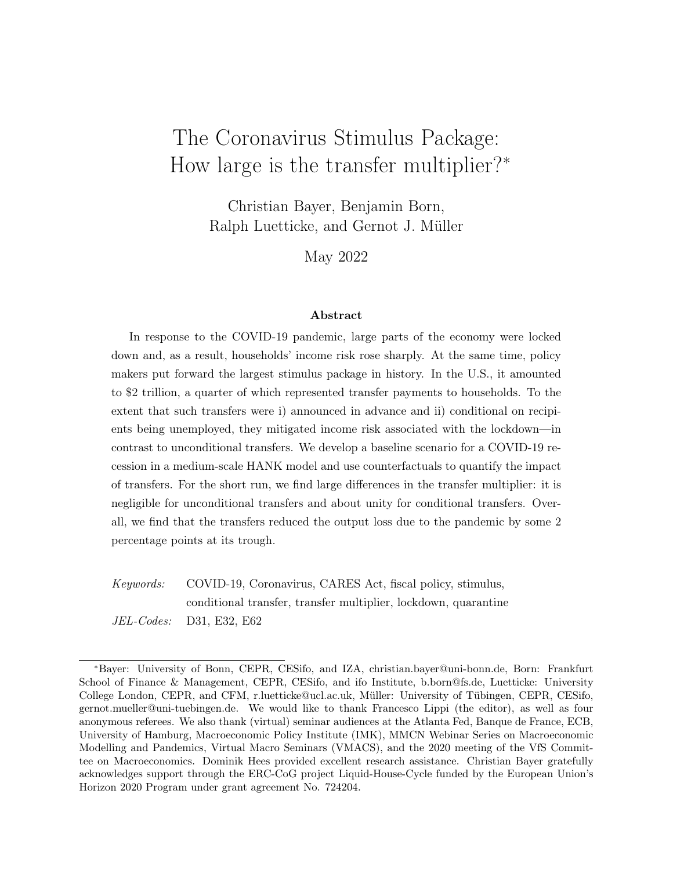Figure 5: Output e pct of trapsfers. Notes: Panel A) shows cumulative multiplier com-<br>puted as  $k = k + 1$  where y is the deviation of output from begeling puted as  $_{j=1}^{k}$  y<sub>i</sub>  $=$ י $\mathsf{P}^\mathsf{S}_\mathsf{k}$  $\int_{j=1}^{k}$  t<sub>i</sub>, where y<sub>i</sub> is the deviation of output from baseline,  $\mathsf{t}_\mathsf{i}$  is the transfer payment (both measured in percentage points of steady-state output), and k is the time since announcement in period 1 (February 2020), measured along the horizontal axis, shown for period  $= 3$  onward. Panel B) shows output responses for baseline (black solid) and alternative specications with conditional transfers only (blue dashed) and w/o transfers (green dash-dotted). Y-axis: cumulative multiplier (right panel), percentage deviation from steady state (left panel). X-axis: Months.

(2018), in HANK models such as ours, anticipated income changes impact current spending via the intertemporal marginal propensity to consume: households that operate near their liquidity constraint may raise expenditures in response to an expected increase in income in the near future.<sup>24</sup> Second, the conditional transfer boosts aggregate demand because it reduces income risk. This happens even though transfers have not yet materialized. For these reasons the multiplier of the conditional transfer tends to be very large in period 1 and 2. We do not show it in the panel so as not to distort the picture. Over time the cumulative multiplier of conditional transfers declines as income risk is receding and conditional payments are materializing. Instead, the unconditional transfer multiplier increases somewhat in the medium run. As a result, cumulative multipliers become more aligned for longer horizons. For a one-year horizon we obtain values of about 0.8 and 0.4, respectively.

In Panel B) of Figure 5 we decompose the eect of the CARES transfers on output by contrasting the baseline response which features both transfer components (in black) to the output response for two alternative model specications: one w/o transfers at all (green dashed-dotted line) and one where only the conditional transfers are being paid (blue

<sup>&</sup>lt;sup>24</sup>This e ect is absent in TANK models since there the borrowing constraint of non-optimizing households is always binding.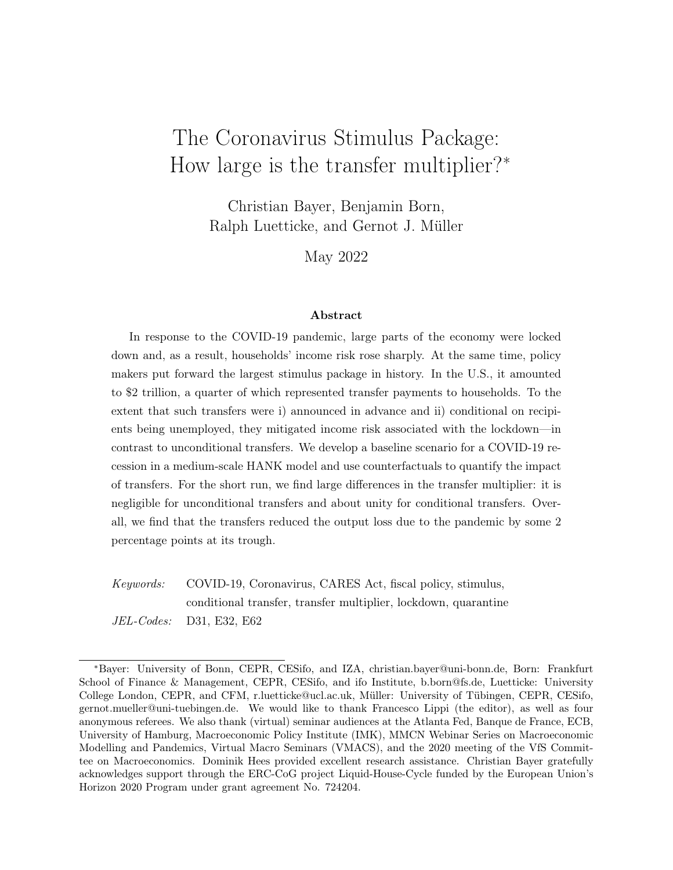providing insurance **providing insurance** insurance size

Output e ect of Multiplier dependence on

Figure 6: Insurance E ects. Notes: left panel decomposes output e ect the of the conditional transfer into contributions due to insuring idiosyncratic income risk in Q-state (red) and providing funds for self-insurance against income drop **U**state (blue). Center and right panels show transfer multiplier of the conditional transfer in the baseline model (dashed green) and (center panel) alternative model w/o idiosyncratic income risk in Q-state (red dashed dotted), as well as (right panel) for alternatively sized transfer packages (red dashed dot-dotted and gold dashed dotted). Y-axis: percentage points (left), cumulative multipliers (right). X-axis: months after start of stimulus.

dashed line). The gure shows that the conditional transfer payment is making almost all the dierence (for in this case the response is almost the same as in the baseline). This is consistent with the results for the multiplier shown Panel A) of the same gure but still noteworthy because the overall amount of payments are about the same for both transfer types (in the model: \$274billion (conditional) vs. \$283billion (unconditional)).

The conditional transfer is more e ective in stabilizing the economy for three reasons. First, it insures the income risk associated with theQ-state itself. Second, because it overinsures via the exceptionally large replacement rates the Q-state, the conditional transfer provides additional resources to those households that transition into the state after their quarantine ends. Third, because low income households are more likely to end up in the Q-state, it redistributes to low-income, high-MPC households.

We illustrate these three channels in Figure 6. For the purpose of this gure, we solve an alternative model where income ofQ- and E-workers is pooled conditional on their productivity. Therefore, in this version of the model, the direct eect ofQ-state income risk is eliminated. The increase of U-unemployment risk after quarantine, however, remains. What also remains, just as in the baseline, is that on average low-productivity workers receive more FPUC transfers than high-productivity workers. The transfers are just pooled across the and E-workers.

The left panel of Figure 6 shows how the insurance e ects play out in terms of stabilizing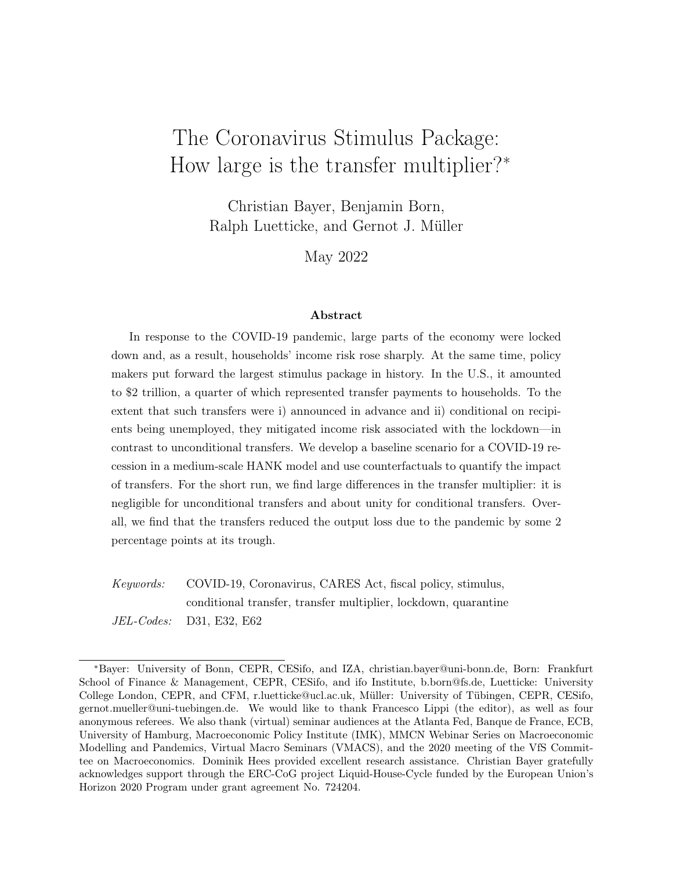output. In red, it shows by how much output in the alternative model exceeds output in the baseline as a result of the income risk associated with the state being fully insured. Recall that there are no FPUC payments, so that the fullQ-risk eect operates in the baseline model. And in the absence of this e ect output falls less. On top of this, in blue, the gure shows how much greater the stabilizing eect of FPUC payments is in the baseline model compared to the alternative with income pooling. This greater stabilization results from FPUC payments being targeted to quarantined households which use them to self-insure against the income risk associated with the regular-state. Because workers in the state anticipate this their desire for precautionary saving is lower and aggregate demand higher. The total e ect of both insurance e ects is close to 1 percent of output at peak.

This insurance channel also shows itself in terms of multipliers in the center panel of Figure 6. The green dashed line is the transfer multiplier for the FPUC payments in our baseline model. When income is pooled in the state (red dash-dotted line), the multiplier is signi cantly smaller because both theQ-risk itself is insured and the FPUC payments are no longer targeted to highU-risk households. However, the transfer multiplier of the FPUC payments is still larger than the unconditional transfer multiplier because of the targeting to low-income, high MPC households.

Furthermore, the right panel of Figure 6 shows that there are decreasing returns to providing additional insurance. Had the FPUC payments been half the size of the actual payments, the resulting multiplier would have been more than 20% larger (see red dashdot-dot line). In absolute terms, this means that the eect of the rst half of the FPUC payments (\$137 billion) on GDP is thus \$30 billion larger than the e ect of the second half. Similarly, a further increase of FPUC payments (gold dash-dot line) would have decreased the multiplier.

Finally, we assess the role of three other pandemic-related model features for our results. For this purpose, Figure 7 compares the transfer multipliers of the baseline model (top-left panel) to a variant where no goods are quarantined and, hence, the love-of-variety e ect à la Guerrieri et al. (2022) is absent (top-right panel), to a variant without feedback from aggregate activity to quarantine (bottom-left panel), and to a variant where the full path of the Q-shocks is not known in February, but only learned by April (bottom-right panel).

Eliminating the love-of-variety eect virtually leaves the transfer multipliers unchanged, even though it has a rst-order eect on aggregate dynamics (which we illustrate in Figure A.2 in Appendix B). In contrast, removing the activity-quarantine feedback increases the multipliers substantially, in particular so during the rst months. This illustrates a potential caveat of economic stimulus in a pandemic: some of its impact is lost to the extent that increased economic activity induces the state of the pandemic to worsen which, in turn,

30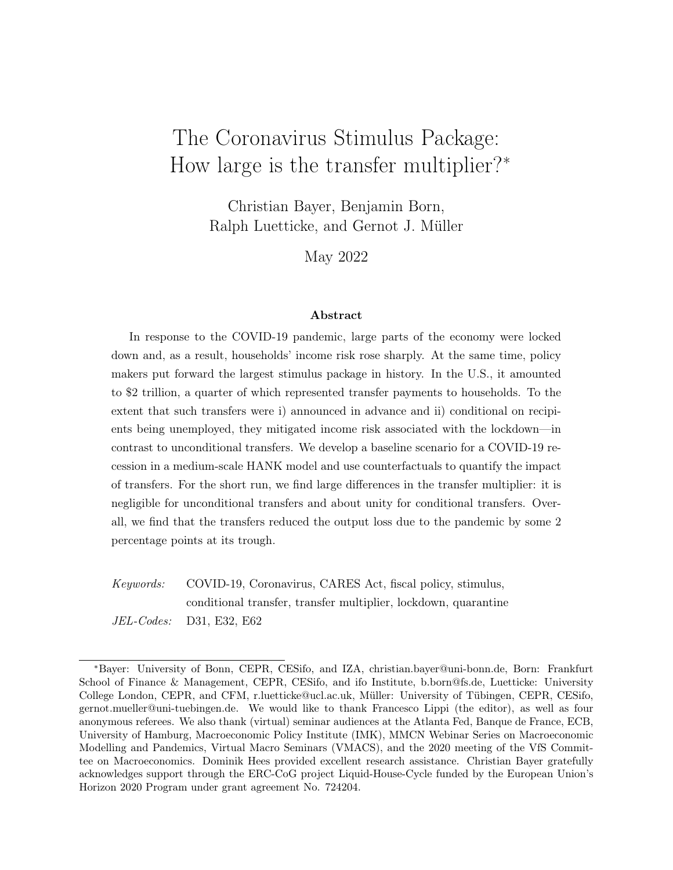```
A) Baseline B) No goods under quarantine
C) No Q-feedback D) Incomplete anticipation
```
Figure 7: Multiplier dependence on Q-shock features. Notes: top-left panel replicates the baseline multipliers. Top-right panel shows multipliers when no goods are in quarantine. Bottom-left panel shows multipliers without feedback from aggregate activity to quarantines. Bottom-right panel shows multipliers when Q-shocks in March and April 2020 are not anticipated. X-axis: months after start of pandemic.

necessitates further quarantine measures.

Considering Panel D), we observe that learning about the Q-shock sequence only gradually (incomplete anticipation) increases the multipliers. This is because given the overall persistence of the Q-shock, the new quarantines in May turn out lower than expected. In the baseline, this benign outcome is revealed already in February 2020, while, in the alternative, households expect a much bleaker situation with higher income risks. In this scenario, the conditional transfer turns out to be an even stronger instrument to stabilize economic activity. The multiplier of the unconditional transfer, instead, remains basically unchanged relative to the baseline. In Appendix C we also show that the multiplier is not aected by waves in product quarantines and, similar to the incomplete anticipation case, increases somewhat if households expect an additional wave of quarantine risks in late 2020.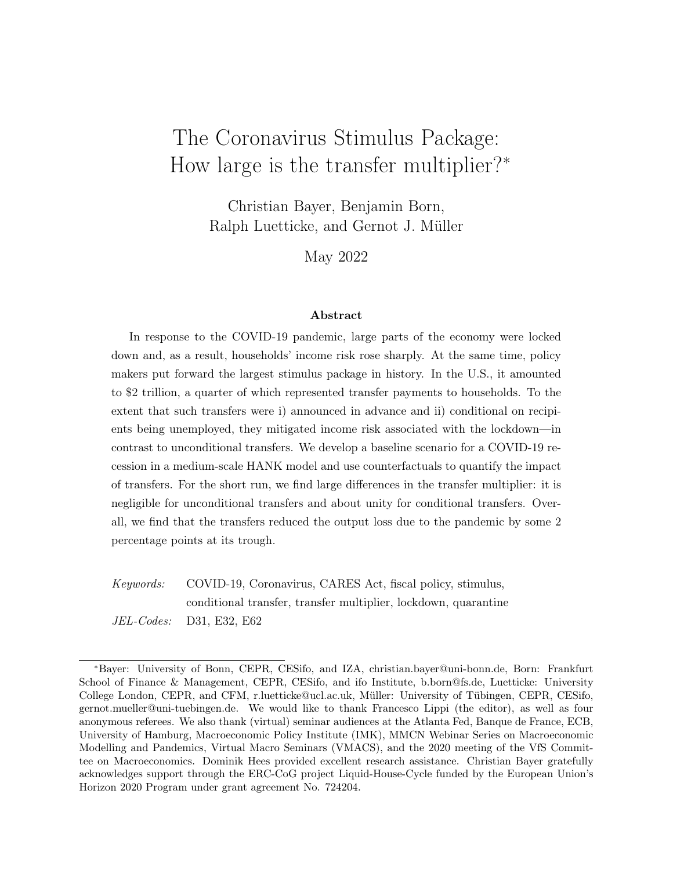Figure 8: Distributional eects of CARES transfer payments. Notes: Black solid line shows baseline response w/ both conditional and unconditional transfers, green dashdotted line without CARES transfers, and blue dashed line w/ conditional transfer only. Y-axis: Percentage deviation from steady state. X-axis: Months.

### 4.4 Distributional E ects and Normative Implications

Our model captures key aspects of the pandemic recession fairly well in terms of both its macroeconomic impact and its heterogeneous impact at the household level. The incidence of unemployment, for instance, diers strongly across the income distribution as does the replacement rate, as Figures 2 and 3 above illustrate. In what follows we highlight further distributional aspects of the pandemic which are widely debated (e.g. Adams et al., 2020; Chetty et al., 2020; Han et al., 2020; Hanspal et al., 2021). Afterwards, we compute the welfare e ects of both the Q-shock and the Coronavirus stimulus.

Figure 8 shows the response of various inequality indicators to the Q-shock. In each instance, we compare the baseline with all transfers in place (black solid line) to a counterfactual without unconditional transfers (blue dashed line) and with no transfers at all (green dash-dotted line). Panel A) on the left shows the response of the top-10% income share. According to this measure, the pandemic leads to an increase in income inequality (except initially, that is in April 2020), even with transfer payments, and this increase is, with almost 10 percent, economically signi cant. At the same time, we observe that the transfer payments dampen the impact on income inequality: it would have risen even more in their absence. This nding is also supported by Panel B) which shows the top-10% wealth share. Here we see a decline in inequality in the baseline, an e ect which would not have been observed without transfers. The stronger increase in government debt that nances transfers, together with the redistributive character of the transfers themselves, leads to an increase in the real rate on liquid assets and, thereby, fosters wealth accumulation of the relatively poor along the lines explained in Bayer et al. (2021). This eect is quantitatively small, however. Finally, consumption inequality measured by the Gini and shown in Panel C) still rises in all scenarios but again the transfers dampen the increase, and quite strongly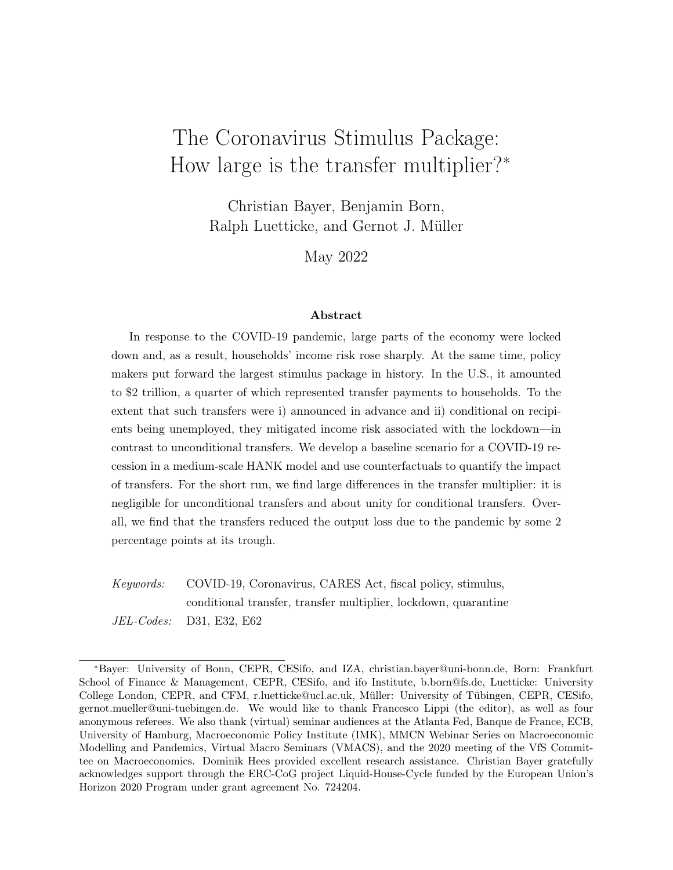Figure 9: Welfare eects of pandemic and CARES transfer payments. Notes: The welfare gains are group averages of consumption equivalents (in percentage points). N.B. the numbers include the indirect eects on future government spending which is assumed to be pure waste.

so. Without any transfers, the consumption Gini would have risen by 3 percent and, interestingly, it would have risen already in February due to increased precautionary savings of the poor. The expectation of conditional transfers eliminates this precautionary increase in consumption inequality illustrating also in terms of this statistic the strong insurance e ect of the FPUC payments.

Hence, the transfers under the CARES act did not only contribute to stabilize economic activity. They also limited its fallout in terms of economic inequality. In a last step, we briey assess their impact in terms of welfare. The left panel of Figure 9 shows the onesided welfare eects of the pandemic had there been no transfers. All households lose, but, comparing along the wealth dimension, the welfare loss is the smallest for wealthy households that have the means to self insure. Comparing along the income dimension (within wealth group), the high productivity households lose more despite the fact that they have a lower incidence of quarantine. Their lifetime income suers more from lower current factor prices. When it comes to the gains from transfers (right panel), the picture partly reverses. Still, the wealthy households gain relatively little from the transfers because they do not need the extra insurance. However, when stratifying by income, it is the low income households who gain most from transfers. In terms of lifetime income as well as current income, the CARES transfers more substantially boost the income of the poor than the income of the righ.

<sup>&</sup>lt;sup>25</sup>Note that, on average, the CARES transfers overcompensate welfare losses due to the pandemic. This re ects the assumption that the increased transfers are nanced by cuts in future government expenditures which the model treats as pure waste in welfare terms. A more detailed welfare analysis would require knowledge of how the transfers will be ultimately nanced and the welfare consequences thereof.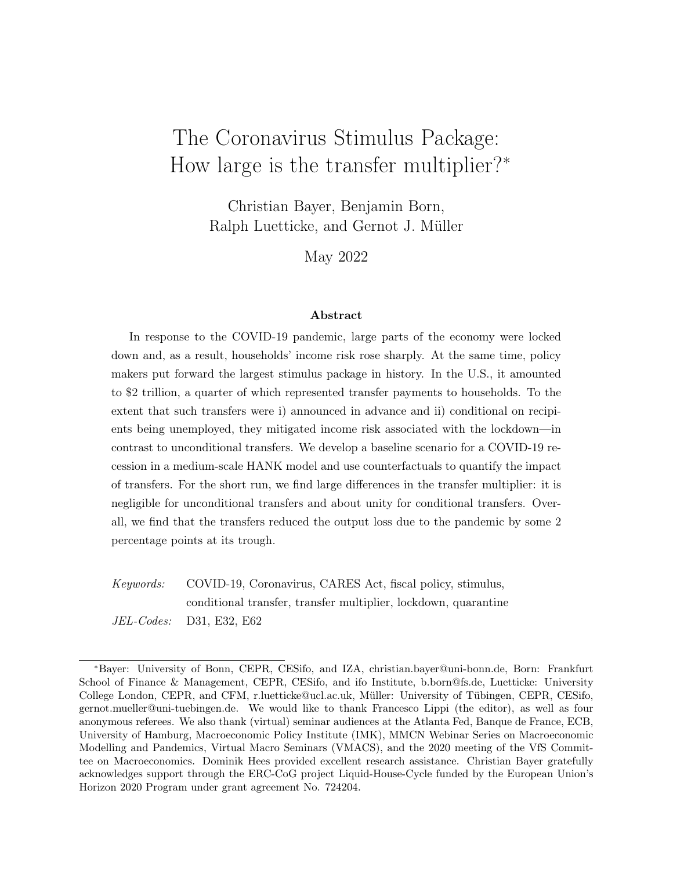# 5 Conclusion

How large is the transfer multiplier? As often, the answer is: it depends. For the e ects of the transfer payments implemented under the CARES Act dier fundamentally depending on whether transfers are conditional on the recipient being unemployed or not. We obtain this result as we study the COVID-19 recession and the scal transfers through the lens of a medium-scale HANK model. We calibrate the model to capture the developments of the unemployment rate during 2020/21 as well as the scal transfers payments of the Coronavirus stimulus package. We nd that our model replicates well key feature of the data, both along the time-series dimension and the cross-section of households.

To understand the eect of transfers, we rely on counterfactual model simulations. We nd, in particular, that conditional transfers (under the FPUC scheme) are e ective in stabilizing the aggregate economy, given the conditions under study, while unconditional transfers are not. This is noteworthy for a number of reasons, including the fact that both transfer components were of about the same size in the Coronavirus stimulus package. Conditional transfers are particular e ective because they are directed to the unemployed who have a high marginal propensity to consume. In addition, as our analysis highlights, they limit income risk associated with unemployment and thus help to avoid recessionary spirals of precautionary savings. Finally, we nd that the conditional transfers helped to contain the increase of inequality caused by the COVID-19 recession as well its adverse welfare eects on the poor.

Transfers to households were only a part of the scal stimulus under the CARES Act. Among other things, it also provided for transfers to rms. It would be interesting to assess the impact of these policies as well as other scal-policy measures implemented in countries outside of the U.S. As our current analysis makes clear, the eect of such measures is bound to interact in non-trivial ways with the speci c conditions and institutions under which they are put in place. We leave a more comprehensive analysis for future research.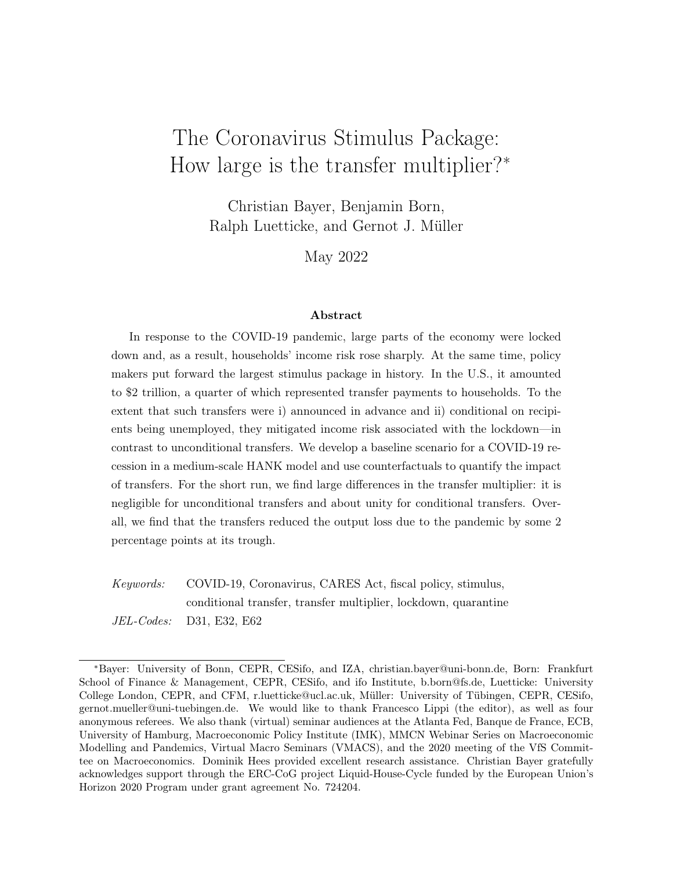## References

- Adams, A., Boneva, T., Golin, M., and Rauh, C. (2020). Inequality in the impact of the Coronavirus shock: Evidence from real time surveys burnal of Public Economics 189:104245.
- Auclert, A., Rognlie, M., and Straub, L. (2018). The intertemporal Keynesian Cross. NBER Working Papers 25020.
- Auerbach, A. J., Gorodnichenko, Y., and Murphy, D. (2021). Fiscal policy and COVID19 restrictions in a demand-determined economy European Economic Review 137:103810.
- Baqaee, D. and Farhi, E. (2021). Supply and demand in disaggregated Keynesian economies with an application to the Covid-19 crisis. American Economic Review, forthcoming.
- Bartik, A. W., Bertrand, M., Cullen, Z., Glaeser, E. L., Luca, M., and Stanton, C. (2020). The impact of covid-19 on small business outcomes and expectation soceedings of the National Academy of Sciences 17(30): 17656 17666.
- Bayer, C., Born, B., and Luetticke, R. (2020). Shocks, frictions, and inequality in US business cycles. CEPR Discussion Paper 14364.
- Bayer, C., Born, B., and Luetticke, R. (2021). The liquidity channel of scal policy. CEPR Discussion Paper 14883.
- Bayer, C. and Luetticke, R. (2020). Solving heterogeneous agent models in discrete time with many idiosyncratic states by perturbation methods. Quantitative Economics, 11:1253 1288.
- Bayer, C., Luetticke, R., Pham-Dao, L., and Tjaden, V. (2019). Precautionary savings, illiquid assets, and the aggregate consequences of shocks to household income Figsinometrica, 87(1):255290.
- Bhattarai, S., Lee, J. W., and Yang, C. (2021). Redistribution and the monetary-scal policy mix. Finance and Economics Discussion Series 2021-013, Board of Governors of the Federal Reserve System.
- Bilbiie, F. O. (2020). The New Keynesian crosslournal of Monetary Economics 114:90 108.
- Bilbiie, F. O., Monacelli, T., and Perotti, R. (2013). Public debt and redistribution with borrowing constraints. The Economic Journal 123(566):F64 F98.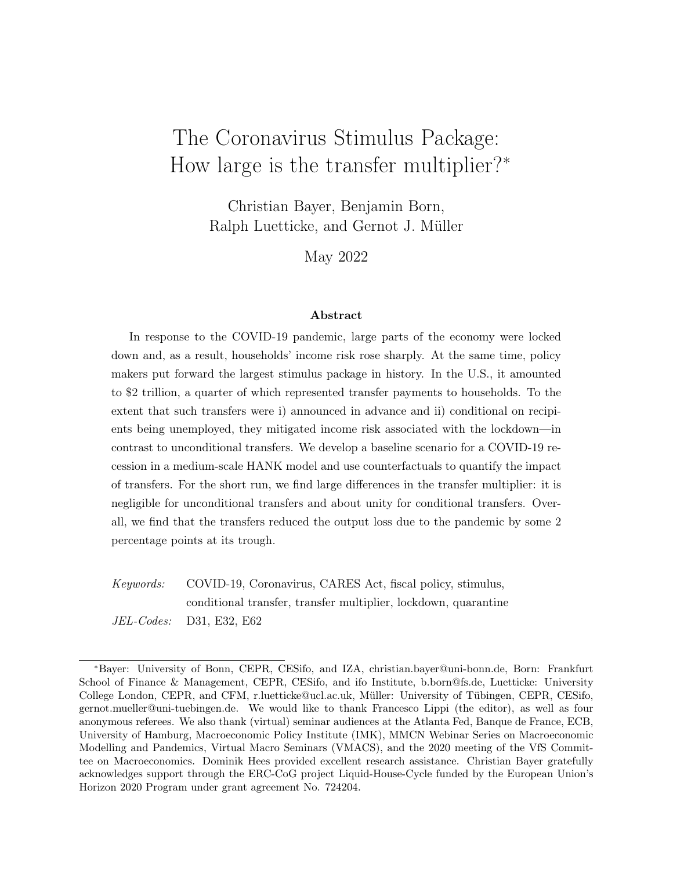- Bognanni, M., Hanley, D., Kolliner, D., and Mitman, K. (2020). Economic activity and Covid-19 transmission: Evidence from an estimated economic-epidemiological model. Finance and Economics Discussion Series 2020-091, Board of Governors of the Federal Reserve System.
- Boppart, T., Harmenberg, K., Hassler, J., Krusell, P., and Olsson, J. (2020). Integrated epi-econ assessment. NBER Working Papers 28282.
- Born, B., Müller, G. J., and Pfeifer, J. (2020). Does austerity pay o? The Review of Economics and Statistics 102(2): 323 338.
- Born, B. and Pfeifer, J. (2014). Policy risk and the business cycle ournal of Monetary Economics 68:68 85.
- Broda, C. and Parker, J. A. (2014). The economic stimulus payments of 2008 and the aggregate demand for consumption Journal of Monetary Economics 68:S20 S36.
- Budianto, F., Lombardo, G., Mojon, B., and Rees, D. (2021). Global reation? BIS Bulletin 43, Bank for International Settlements.
- Calvo, G. A. (1983). Staggered prices in a utility-maximizing framework.Journal of Monetary Economics, 12(3):383398.
- Chetty, R., Friedman, J. N., Hendren, N., Stepner, M., and Team, T. O. I. (2020). The economic impacts of COVID-19: Evidence from a new public database built using private sector data. NBER Working Paper 27431.
- Chetty, R., Guren, A., Manoli, D., and Weber, A. (2011). Are micro and macro labor supply elasticities consistent? A review of evidence on the intensive and extensive margins. American Economic Review, 101(3): 471 475.
- Coenen, G., Erceg, C. J., Freedman, C., Furceri, D., Kumhof, M., Lalonde, R., Laxton, D., Lindé, J., Mourougane, A., Muir, D., Mursula, S., de Resende, C., Roberts, J., Roeger, W., Snudden, S., Trabandt, M., and in't Veld, J. (2012). Eects of scal stimulus in structural models. American Economic Journal: Macroeconomics4(1):22 68.
- Cortes, G. M. and Forsythe, E. (2021). Impacts of the COVID-19 pandemic and the CARES act on earnings and inequality. Mimeo, York University.
- Cox, N., Ganong, P., Noel, P., Vavra, J., Wong, A., Farrell, D., and Greig, F. (2020). Initial impacts of the pandemic on consumer behavior: Evidence from linked income, spending, and savings data. Brookings Papers on Economic Activity pages 35 69.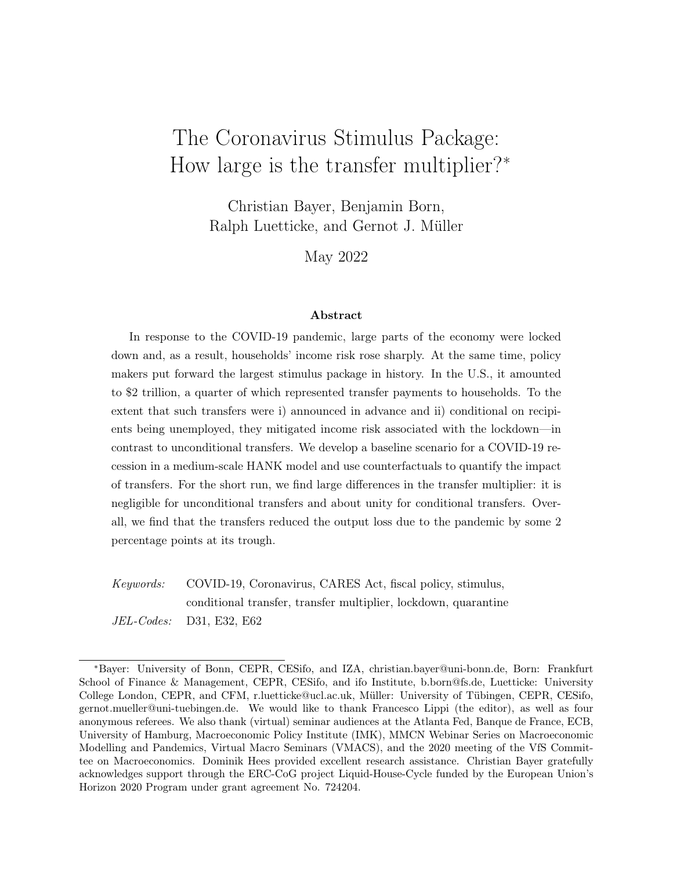- Den Haan, W. J., Rendahl, P., and Riegler, M. (2017). Unemployment (fears) and de ationary spirals. Journal of the European Economic Association 16(5): 1281 1349.
- Dietrich, A., Kuester, K., Müller, G. J., and Schoenle, R. (2022). News and uncertainty about COVID-19: Survey evidence and short-run economic impact burnal of Monetary Economics, forthcoming.
- Eichenbaum, M. S., Rebelo, S., and Trabandt, M. (2021). The Macroeconomics of Epidemics. The Review of Financial Studies 34(11): 5149 5187.
- Erceg, C. and Lindé, J. (2014). Is there a scal free lunch in a liquidity trap?Journal of the European Economic Association  $12(1)$ : 73 107.
- Faria-e-Castro, M. (2020). Back-of-the-envelope estimates of next quarter's unemployment rate. On the economy blog, Federal Reserve Bank of St. Louis.
- Faria-e-Castro, M. (2021). Fiscal policy during a pandemic ournal of Economic Dynamics and Control, 125:104088.
- Faria-e-Castro, M. (2022). Fiscal multipliers and nancial crises.The Review of Economics and Statistics forthcoming.
- Fornaro, L. and Wolf, M. (2020). Covid-19 Coronavirus and macroeconomic policy. CEPR Discussion Paper 14529.
- Ganong, P., Noel, P., and Vavra, J. (2020). US unemployment insurance replacement rates during the pandemic. Journal of Public Economics, 191:104273.
- Gechert, S., Paetz, C., and Villanueva, P. (2021). The macroeconomic eects of social security contributions and bene ts. Journal of Monetary Economics 117:571 584.
- Giambattista, E. and Pennings, S. (2017). When is the government transfer multiplier large? European Economic Review100:525 543.
- Glover, A., Heathcote, J., Krueger, D., and Ríos-Rull, J.-V. (2021). Health versus wealth: On the distributional eects of controlling a pandemic. Mimeo, Minneapolis Fed.
- Greenwood, J., Hercowitz, Z., and Human, G. W. (1988). Investment, capacity utilization, and the real business cycle American Economic Review 78(3): 402 417.
- Guerrieri, V., Lorenzoni, G., Straub, L., and Werning, I. (2022). Macroeconomic implications of COVID-19: Can negative supply shocks cause demand shortages merican Economic Review, 112(5):143774.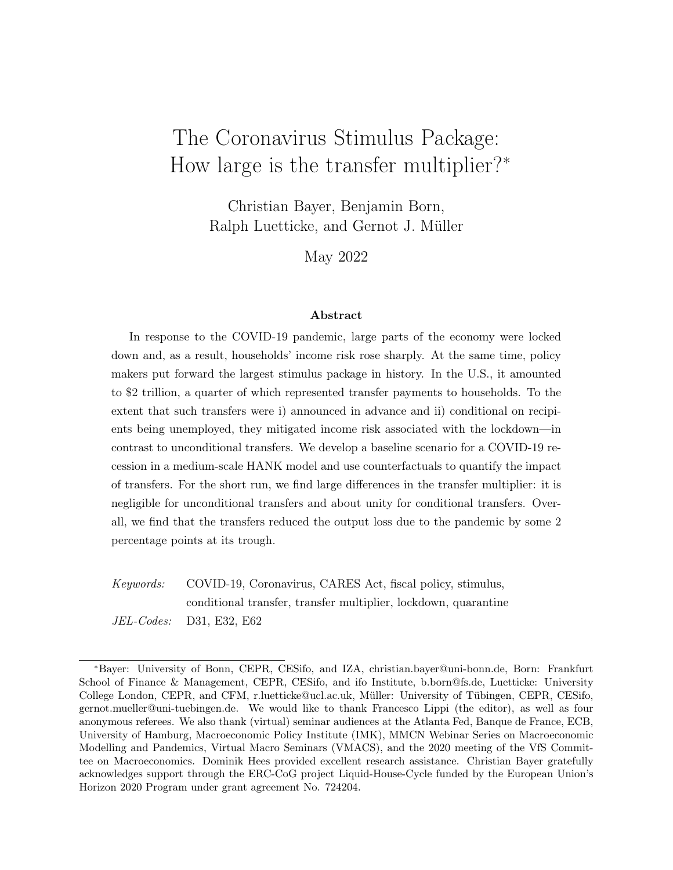- Guvenen, F., Kaplan, G., and Song, J. (2014). How risky are recessions for top earners? American Economic Review, 104(5): 148 153.
- Hagedorn, M., Manovskii, I., and Mitman, K. (2019). The scal multiplier. NBER Working Papers 25571.
- Han, J., Meyer, B. D., and Sullivan, J. X. (2020). Income and poverty in the COVID-19 pandemic. Brookings Papers on Economic Activity Summer 2020:85 118.
- Hanspal, T., Weber, A., and Wohlfart, J. (2021). Exposure to the COVID-19 stock market crash and its e ect on household expectations Review of Economics and Statistics 103(5):9941010.
- Hassan, T., Hollander, S., van Lent, L., Schwedeler, M., and Tahoun, A. (2021). Firm-level exposure to epidemic diseases: COVID-19, SARS, and H1N1. NBER Working Paper 26971.
- Hürtgen, P. (2021). Fiscal space in the COVID-19 pandemic. Applied Economics, 53(39):45174532.
- Kaplan, G., Moll, B., and Violante, G. (2020). The great lockdown and the big stimulus: Tracing the pandemic possibility frontier for the US. NBER Working Paper 27794.
- Kaplan, G. and Violante, G. L. (2014). A model of the consumption response to scal stimulus payments. Econometrica, 82:1199 1239.
- Kekre, R. (2022). Unemployment insurance in macroeconomic stabilization.Review of Economics Studies for thcoming.
- Krueger, D., Mitman, K., and Perri, F. (2016). Macroeconomics and household heterogeneity. In Handbook of Macroeconomics volume 2, pages 843 921. Elsevier.
- McKay, A. and Reis, R. (2016). The role of automatic stabilizers in the U.S. business cycle. Econometrica, 84(1):141 194.
- McKay, A. and Reis, R. (2021). Optimal automatic stabilizers.The Review of Economic Studies, 88(5):2375 2406.
- Mehrotra, N. R. (2018). Fiscal policy stabilization: Purchases or transfers?International Journal of Central Banking 14(2):150.
- Mongey, S., Pilossoph, L., and Weinberg, A. (2021). Which workers bear the burden of social distancing policies? The Journal of Economic Inequality 19:509 526.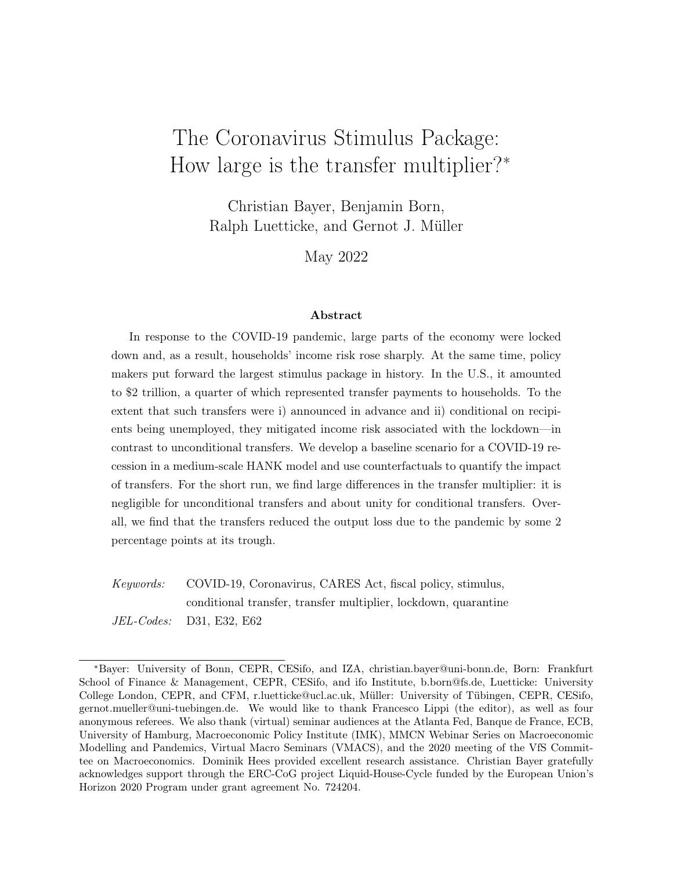- Moser, C. and Yared, P. (2022). Pandemic lockdown: The role of government commitment. Review of Economic Dynamics, forthcoming.
- Oh, H. and Reis, R. (2012). Targeted transfers and the scal response to the Great Recession. Journal of Monetary Economics, 59:S50 S64.
- Ramey, V. A. (2019). Ten years after the nancial crisis: What have we learned from the renaissance in scal research Journal of Economic Perspectives 33(2):89 114.
- Ravn, M. O. and Sterk, V. (2017). Job uncertainty and deep recession surnal of Monetary Economics, 90:125141.
- Smets, F. and Wouters, R. (2007). Shocks and frictions in US business cycles: A Bayesian DSGE approach. American Economic Review 97(3):586 606.
- Storesletten, K., Telmer, C. I., and Yaron, A. (2004). Cyclical dynamics in idiosyncratic labor market risk. Journal of Political Economy, 112(3):695717.
- Taylor, J. B. (1993). Discretion versus policy rules in practice. InCarnegie-Rochester Conference Series on Public Policy olume 39, pages 195 214. Elsevier.
- Wolf, C. K. (2021). Interest rate cuts vs. stimulus payments: An equivalence result. NBER Working Paper 29193.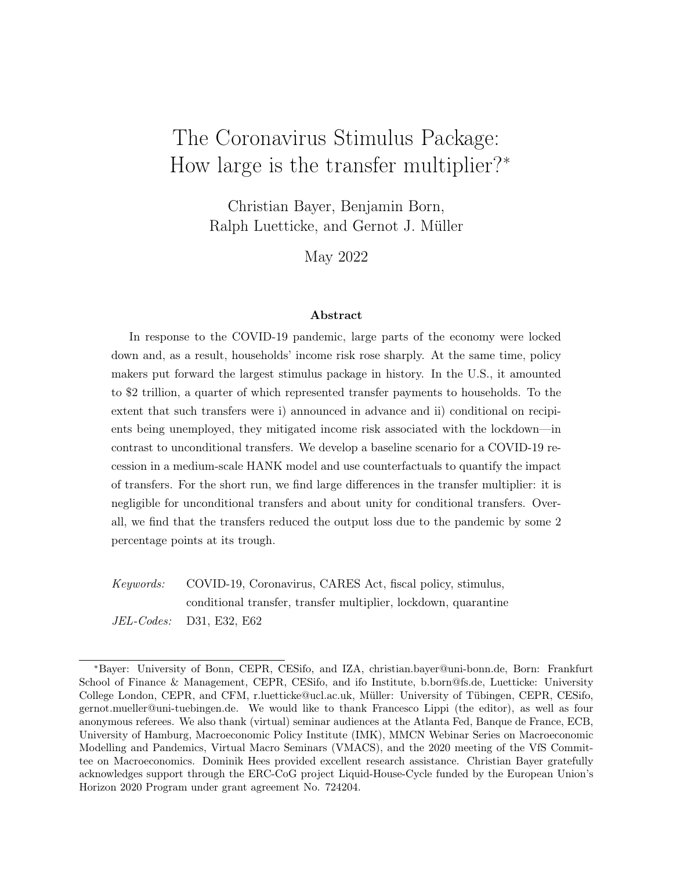# A Data

Unless otherwise noted, all series available from the St.Louis FED - FRED database (mnemonics in parentheses).

### A.1 Calibration

Averages computed on 1981 2019 sample unless otherwise noted.

- Mean illiquid assets . Fixed assets (NIPA table 1.1) over quarterly GDP (excluding net exports; see below).
- Mean liquidity . Federal debt held by the public as percent of Gross Domestic Product (FYGFGDQ188S).
- Fraction of borrowers . Taken from the Survey of Consumer Finances (1983-2013); see Bayer et al. (2019) for more details.

Average top 10% share of wealth . Source is the World Inequality Database.

### A.2 Data gures

Unless otherwise noted, series are detrended by HP- Iter  $\in$  129600). Quarterly series are transformed to monthly frequency via cubic spline interpolation.

Initial claims . Monthly sum of weekly initial claims (ICSA).

- Unemployment rate . Monthly unemployment rate (UNRATE).
- Unemployment rate: low income . Monthly unemployment rate high school graduates or less, no college, 25 yrs. & over (LNS14027660).
- Unemployment rate: middle income . Monthly unemployment rate some college or associate degree, 25 yrs. & over (LNS14027689).
- Unemployment rate: high income . Monthly unemployment rate bachelor's degree and higher, 25 yrs. & over (LNS14027662).
- Output . Sum of gross xed capital formation (USAGFCFQDSMEI), personal consumption expenditures (PCE), and government consumption expenditures and gross investment (GCE) divided by the GDP deator (GDPDEF).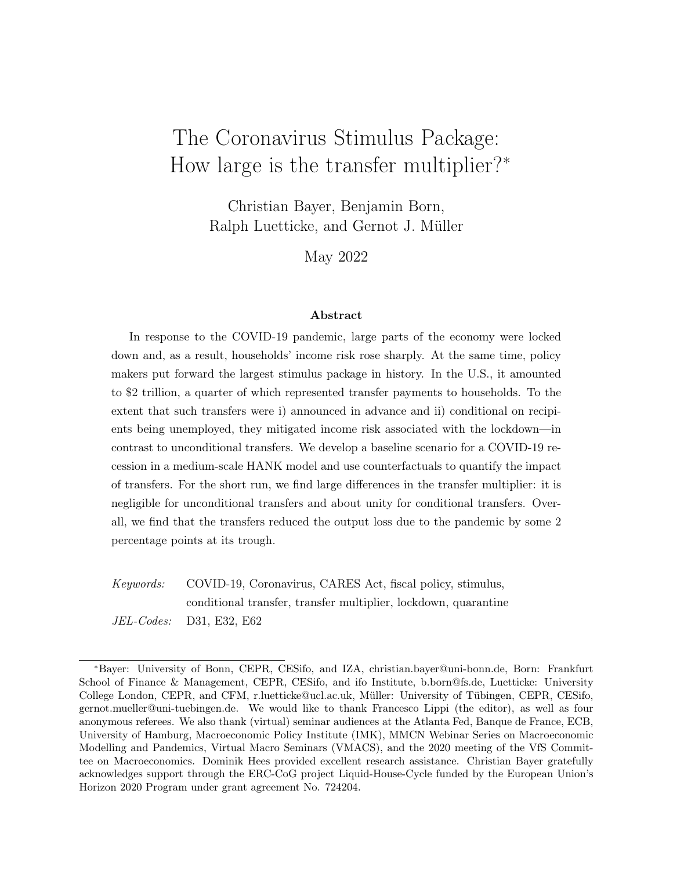- Consumption . Personal consumption expenditures (PCE) divided by the GDP deator (GDPDEF).
- Investment . Gross xed capital formation (USAGFCFQDSMEI) divided by the GDP deator (GDPDEF).
- Debt-to-output ratio . Federal debt held by the public as percent of Gross Domestic Product (FYGFGDQ188S).
- In ation . Month-on-month percent change (annualized) in the consumer price index for all urban consumers: all items in U.S. city average (CPIAUCSL).
- Policy rate . E ective federal funds rate (FEDFUNDS) not detrended.

### A.3 CARES

- Conditional transfers FPUC . Pandemic Unemployment Compensation Payments taken from BEA Personal Income Statistics.
- Unconditional transfers . CARES legislation according to the Congressional Budget O<sub>ce</sub>.

# B Additional Figures

Figure A.1 provides counterfactuals to the IRFs from Figure 4 of the main text. It shows how the economy would have reacted in absence of certain elements of the CARES package. The solid black line is the baseline with all transfers active, the blue dashed line shows a counterfactual without unconditional transfers and the green dashed-dotted line the counterfactual without any additional transfers and only regular unemployment bene ts in place.

Figure A.2 provides results for alternative model specications in order to analyze the importance of certain model aspects and channels. To disentangle model elements and the interaction with the CARES package, we show here the results without any transfers in place. Concretely, we compare the baseline (black solid line) to a setup (1) without feedback from aggregate activity to quarantines,  $_{Q;Y} = 0$ , (green dash-dotted line), (2) where no goods are quarantined (blue dashed line), and (3) where the shocks of March and April are unexpected in February such that  $E_t$ ( $\frac{Q}{t+1}$ ) = 0 for all t and the full path of the quarantine risk is only revealed by April (red dash-double-dotted line). This implies, in particular, less risk of quarantine for May than anticipated in March.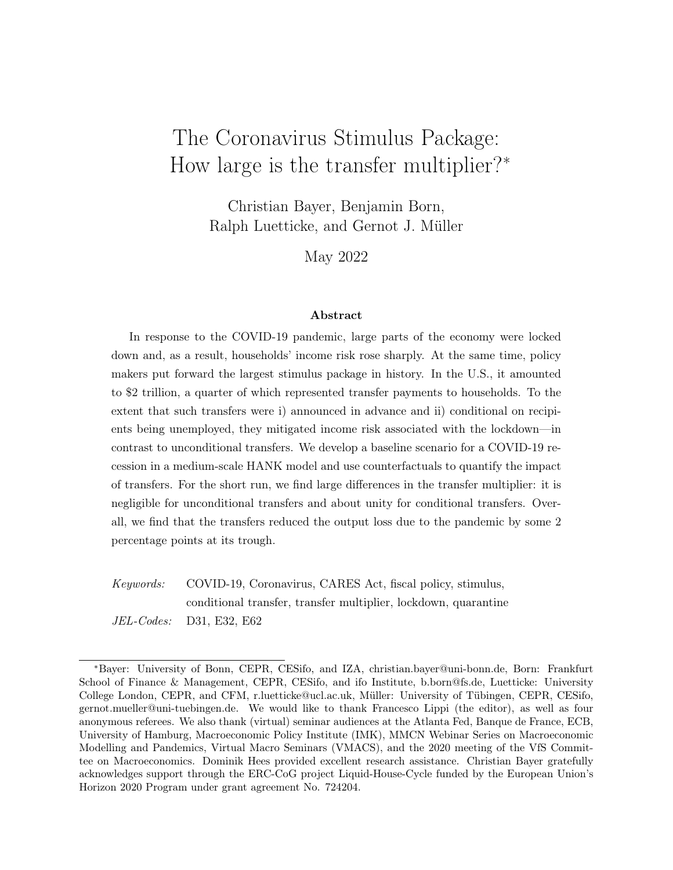

Figure A.1: Decomposition of dynamic adjustment to Q-shock. Notes: Black solid line shows baseline response w/ conditional and unconditional transfers, green dash-dotted line w/o CARES transfers, and blue dashed line w/ conditional transfer only. For variable descriptions, see Figure 4. Y-axis: Percentage deviation from steady state, annualized percentage points in case of (m-o-m) inflation and interest rate. X-axis: Months.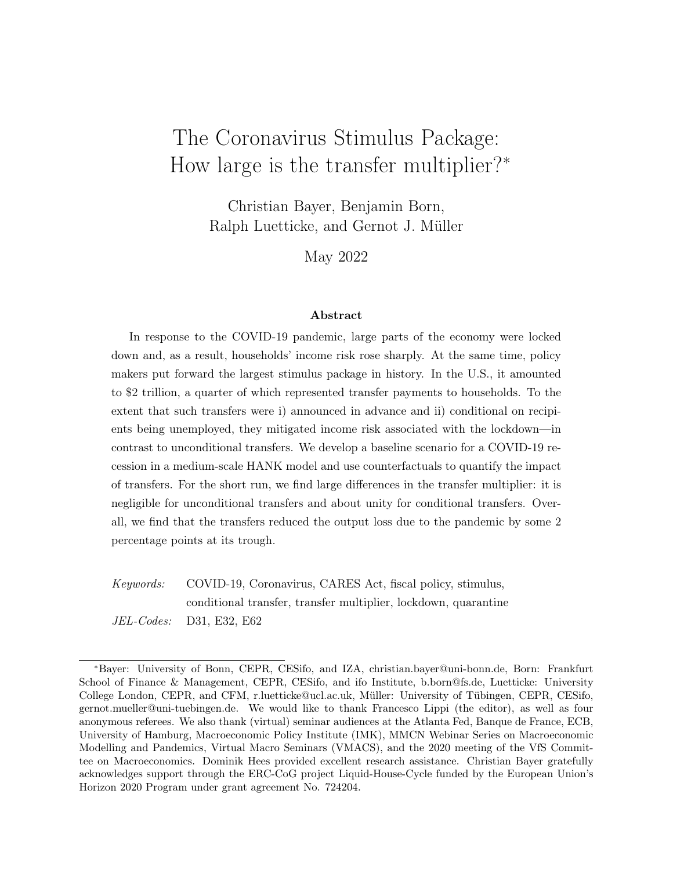

Figure A.2: Dynamic adjustment to alternative Q-shock specifications w/o CARES transfers. Notes: Impulse responses to baseline Q-shock (black solid line), Q-shock w/o feedback from aggregate activity to quarantines (green dash-dotted line), Q-shock when no goods are quarantined (blue dashed line), and Q-shock when full path is only revealed in April (red dash-double-dotted line). For variable descriptions, see Figure 4. Y-axis: Percentage deviation from steady state, annualized percentage points in case of (m-o-m) inflation and interest rate. X-axis: Months. <sup>43</sup>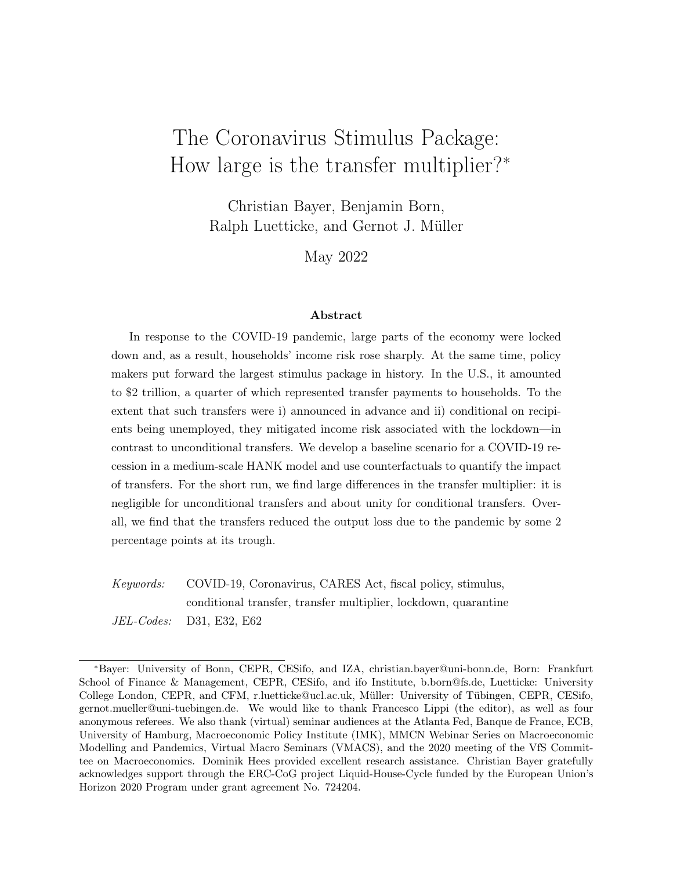# C Dealing with COVID Waves

To check whether the recurrent nature of COVID (waves) a ects our results, we build two additional scenarios. The first scenario follows our baseline calibration strategy to match the unemployment rate and view all quarantines of workers, capital, and varieties as moving in lockstep. There is a small slowdown of the recovery of the unemployment rate in autumn 2020. This means, we adjust the Q-shock accordingly and add shocks,  $\frac{Q}{t}$ , to the Q-Process, Equation (2), of 0.1% in Oct20, 0.25% in Nov20, 0.2% in Dec20, 0.2% in Jan21, and 0.1% in Feb21. As in the baseline, the path of  $Q$  including the 2nd wave is known in advance.

The second alternative builds on the observation that autumn 2020 saw a stronger lockdown of varieties than movement in unemployment, if one looks at, say, evidence from restaurant visits and movement in general, see e.g. Bognanni et al. (2020). Here, we keep the Q-shock as in the baseline, but allow for additional independent shocks to the available varieties of final goods (Wave-V). These shocks follow an log-AR(1) process, too,  $Q_t^V = \exp \cos(\omega t) \log(\omega_{t-1}^V + \omega_t^{\omega_V})$  $t^2$ , and a ect the o er of varieties on top of what the baseline quarantines do, such that  $Y_t = [Q_t^V H_t]^{\frac{1}{s-1}} Y_t^F$  and  $\frac{P_t}{P_t^F} = [Q_t^V H_t]^{\frac{1}{s-1}}$ . We reduce the availability of varieties by -1% in Nov20 and -3% in Dec20, and let the process follow its autocorrelation ( $_{QV}$  = 0.7) thereafter. This is designed to match the drop in consumption of 1% in Dec20. Again the full path of  $\mathit{Q}^V_t$  is known in advance. The goal of this alternative therefore is to test the robustness of the multipliers to the existence of a second wave.

Wave-Q does not create the second, but small, dip in consumption in autumn 2020, but still slows down the recovery in 2021, see Figure A.3. The figure shows the response including CARES. Overall the e ect is small because the extra unemployment wave is small to start with. Wave-V does, by construction, replicate the additional contraction of consumption by -1% in Dec20. It also increases the size of the trough in Apr20 by some 30%.

By and large, the established picture reemerges for the multipliers. The fiscal transfer multiplier becomes slightly higher in the case of Wave-Q, see Figure A.4, because additional Q-shocks increase income risk in the autumn of 2020. However, somewhat counterfactually, this assumes the CARES-2020-FPUC transfers to be paid out to the new quarantines in autumn, too. Wave-V, by contrast, does not a ect the multiplier. This is in line with our findings from Figure 7, where the multipliers remain unchanged without lost varieties. Fluctuations in varieties do not interfere with MPCs and income risk that are the key drivers of the transfer multipliers.

The recurrent nature of COVID-19 is not of first-order importance for the size of the transfer multiplier in the US because the second wave of lockdowns shows up hardly in the unemployment rate. If at all, it shows up in reduced varieties leaving multipliers unchanged.